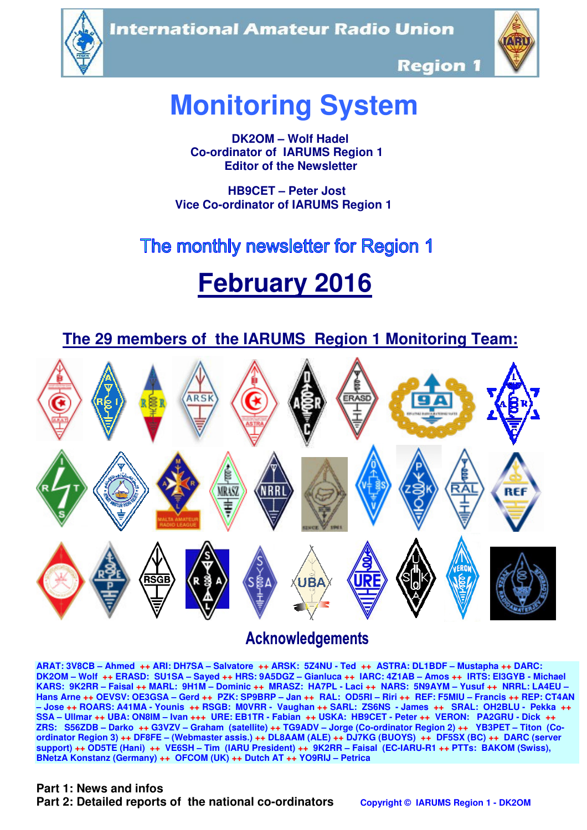**International Amateur Radio Union** 





**Region 1** 

# **Monitoring System**

 **DK2OM – Wolf Hadel Co-ordinator of IARUMS Region 1 Editor of the Newsletter** 

 **HB9CET – Peter Jost Vice Co-ordinator of IARUMS Region 1** 

# The monthly newsletter for Region 1

# **February 2016**

 **The 29 members of the IARUMS Region 1 Monitoring Team:**



# **Acknowledgements**

**ARAT: 3V8CB – Ahmed ++ ARI: DH7SA – Salvatore ++ ARSK: 5Z4NU - Ted ++ ASTRA: DL1BDF – Mustapha ++ DARC: DK2OM – Wolf ++ ERASD: SU1SA – Sayed ++ HRS: 9A5DGZ – Gianluca ++ IARC: 4Z1AB – Amos ++ IRTS: EI3GYB - Michael KARS: 9K2RR – Faisal ++ MARL: 9H1M – Dominic ++ MRASZ: HA7PL - Laci ++ NARS: 5N9AYM – Yusuf ++ NRRL: LA4EU – Hans Arne ++ OEVSV: OE3GSA – Gerd ++ PZK: SP9BRP – Jan ++ RAL: OD5RI – Riri ++ REF: F5MIU – Francis ++ REP: CT4AN – Jose ++ ROARS: A41MA - Younis ++ RSGB: M0VRR - Vaughan ++ SARL: ZS6NS - James ++ SRAL: OH2BLU - Pekka ++ SSA – Ullmar ++ UBA: ON8IM – Ivan +++ URE: EB1TR - Fabian ++ USKA: HB9CET - Peter ++ VERON: PA2GRU - Dick ++ ZRS: S56ZDB – Darko ++ G3VZV – Graham (satellite) ++ TG9ADV – Jorge (Co-ordinator Region 2) ++ YB3PET – Titon (Coordinator Region 3) ++ DF8FE – (Webmaster assis.) ++ DL8AAM (ALE) ++ DJ7KG (BUOYS) ++ DF5SX (BC) ++ DARC (server support) ++ OD5TE (Hani) ++ VE6SH – Tim (IARU President) ++ 9K2RR – Faisal (EC-IARU-R1 ++ PTTs: BAKOM (Swiss), BNetzA Konstanz (Germany) ++ OFCOM (UK) ++ Dutch AT ++ YO9RIJ – Petrica** 

#### **Part 1: News and infos**

**Part 2: Detailed reports of the national co-ordinators copyright © IARUMS Region 1 - DK2OM**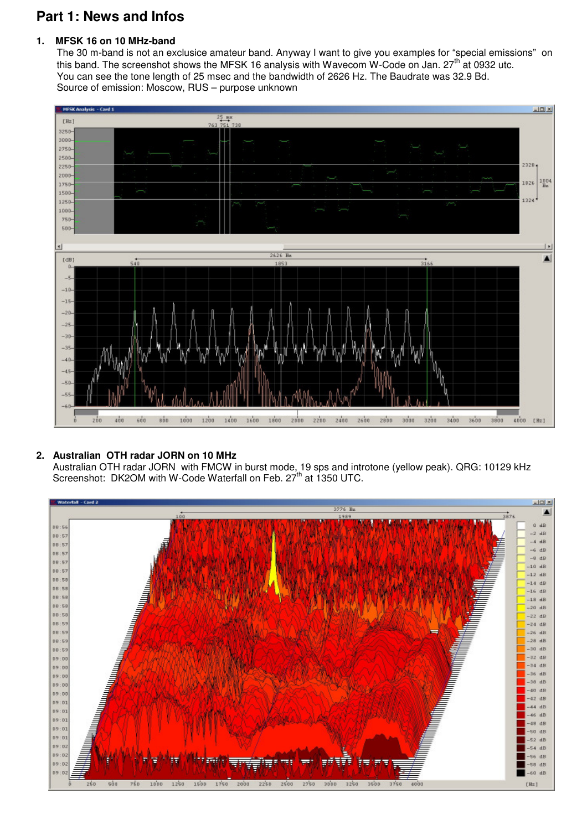# **Part 1: News and Infos**

## **1. MFSK 16 on 10 MHz-band**

 The 30 m-band is not an exclusice amateur band. Anyway I want to give you examples for "special emissions" on this band. The screenshot shows the MFSK 16 analysis with Wavecom W-Code on Jan. 27<sup>th</sup> at 0932 utc. You can see the tone length of 25 msec and the bandwidth of 2626 Hz. The Baudrate was 32.9 Bd. Source of emission: Moscow, RUS – purpose unknown



#### **2. Australian OTH radar JORN on 10 MHz**

 Australian OTH radar JORN with FMCW in burst mode, 19 sps and introtone (yellow peak). QRG: 10129 kHz Screenshot: DK2OM with W-Code Waterfall on Feb. 27<sup>th</sup> at 1350 UTC.

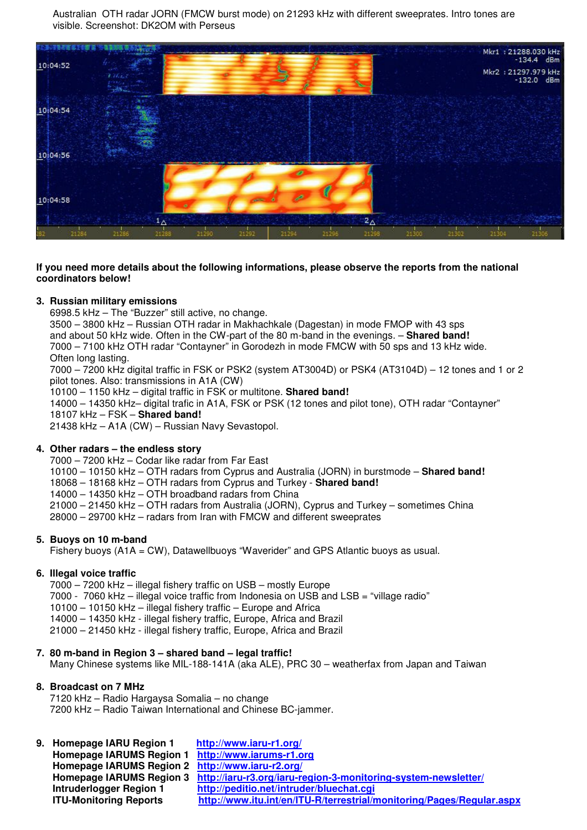Australian OTH radar JORN (FMCW burst mode) on 21293 kHz with different sweeprates. Intro tones are visible. Screenshot: DK2OM with Perseus



#### **If you need more details about the following informations, please observe the reports from the national coordinators below!**

#### **3. Russian military emissions**

6998.5 kHz – The "Buzzer" still active, no change.

 3500 – 3800 kHz – Russian OTH radar in Makhachkale (Dagestan) in mode FMOP with 43 sps and about 50 kHz wide. Often in the CW-part of the 80 m-band in the evenings. – **Shared band!** 7000 – 7100 kHz OTH radar "Contayner" in Gorodezh in mode FMCW with 50 sps and 13 kHz wide. Often long lasting.

 7000 – 7200 kHz digital traffic in FSK or PSK2 (system AT3004D) or PSK4 (AT3104D) – 12 tones and 1 or 2 pilot tones. Also: transmissions in A1A (CW)

10100 – 1150 kHz – digital traffic in FSK or multitone. **Shared band!** 

 14000 – 14350 kHz– digital trafic in A1A, FSK or PSK (12 tones and pilot tone), OTH radar "Contayner" 18107 kHz – FSK – **Shared band!**

21438 kHz – A1A (CW) – Russian Navy Sevastopol.

#### **4. Other radars – the endless story**

7000 – 7200 kHz – Codar like radar from Far East

10100 – 10150 kHz – OTH radars from Cyprus and Australia (JORN) in burstmode – **Shared band!**

- 18068 18168 kHz OTH radars from Cyprus and Turkey **Shared band!**
- 14000 14350 kHz OTH broadband radars from China

21000 – 21450 kHz – OTH radars from Australia (JORN), Cyprus and Turkey – sometimes China

28000 – 29700 kHz – radars from Iran with FMCW and different sweeprates

#### **5. Buoys on 10 m-band**

Fishery buoys (A1A = CW), Datawellbuoys "Waverider" and GPS Atlantic buoys as usual.

#### **6. Illegal voice traffic**

7000 – 7200 kHz – illegal fishery traffic on USB – mostly Europe

7000 - 7060 kHz – illegal voice traffic from Indonesia on USB and LSB = "village radio"

10100 – 10150 kHz – illegal fishery traffic – Europe and Africa

14000 – 14350 kHz - illegal fishery traffic, Europe, Africa and Brazil

21000 – 21450 kHz - illegal fishery traffic, Europe, Africa and Brazil

#### **7. 80 m-band in Region 3 – shared band – legal traffic!**

Many Chinese systems like MIL-188-141A (aka ALE), PRC 30 – weatherfax from Japan and Taiwan

#### **8. Broadcast on 7 MHz**

7120 kHz – Radio Hargaysa Somalia – no change 7200 kHz – Radio Taiwan International and Chinese BC-jammer.

**9. Homepage IARU Region 1 http://www.iaru-r1.org/ Homepage IARUMS Region 1 http://www.iarums-r1.org Homepage IARUMS Region 2 http://www.iaru-r2.org/ Homepage IARUMS Region 3 http://iaru-r3.org/iaru-region-3-monitoring-system-newsletter/ Intruderlogger Region 1 http://peditio.net/intruder/bluechat.cgi ITU-Monitoring Reports http://www.itu.int/en/ITU-R/terrestrial/monitoring/Pages/Regular.aspx**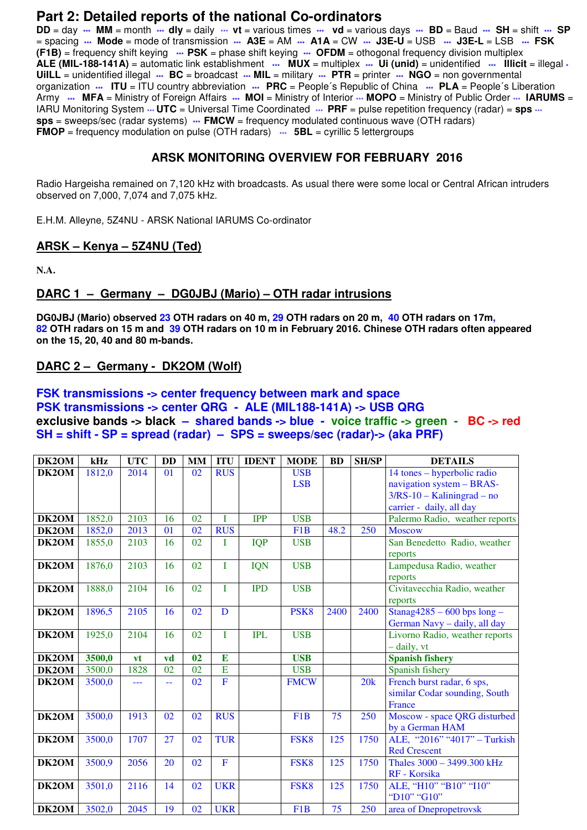## **Part 2: Detailed reports of the national Co-ordinators**

**DD** = day **\*\*\* MM** = month **\*\*\* dly** = daily \*\*\* **vt** = various times **\*\*\* vd** = various days **\*\*\* BD** = Baud **\*\*\* SH** = shift **\*\*\* SP** = spacing **\*\*\* Mode** = mode of transmission **\*\*\* A3E** = AM **\*\*\* A1A** = CW **\*\*\* J3E-U** = USB **\*\*\* J3E-L** = LSB **\*\*\* FSK (F1B)** = frequency shift keying **\*\*\* PSK** = phase shift keying **\*\*\* OFDM** = othogonal frequency division multiplex **ALE (MIL-188-141A)** = automatic link establishment **\*\*\* MUX** = multiplex **\*\*\* Ui (unid)** = unidentified **\*\*\* Illicit** = illegal **\* UiILL** = unidentified illegal **\*\*\* BC** = broadcast **\*\*\* MIL** = military **\*\*\* PTR** = printer **\*\*\* NGO** = non governmental organization **\*\*\* ITU** = ITU country abbreviation **\*\*\* PRC** = People´s Republic of China **\*\*\* PLA** = People´s Liberation Army  $\cdots$  MFA = Ministry of Foreign Affairs  $\cdots$  MOI = Ministry of Interior  $\cdots$  MOPO = Ministry of Public Order  $\cdots$  IARUMS = IARU Monitoring System  $\cdot\cdot\cdot$  **UTC** = Universal Time Coordinated  $\cdot\cdot\cdot$  **PRF** = pulse repetition frequency (radar) = **sps**  $\cdot\cdot\cdot$ **sps** = sweeps/sec (radar systems) **\*\*\* FMCW** = frequency modulated continuous wave (OTH radars) **FMOP** = frequency modulation on pulse (OTH radars)  $\cdots$  **5BL** = cyrillic 5 lettergroups

## **ARSK MONITORING OVERVIEW FOR FEBRUARY 2016**

Radio Hargeisha remained on 7,120 kHz with broadcasts. As usual there were some local or Central African intruders observed on 7,000, 7,074 and 7,075 kHz.

E.H.M. Alleyne, 5Z4NU - ARSK National IARUMS Co-ordinator

#### **ARSK – Kenya – 5Z4NU (Ted)**

**N.A.** 

## **DARC 1 – Germany – DG0JBJ (Mario) – OTH radar intrusions**

**DG0JBJ (Mario) observed 23 OTH radars on 40 m, 29 OTH radars on 20 m, 40 OTH radars on 17m, 82 OTH radars on 15 m and 39 OTH radars on 10 m in February 2016. Chinese OTH radars often appeared on the 15, 20, 40 and 80 m-bands.** 

#### **DARC 2 – Germany - DK2OM (Wolf)**

#### **FSK transmissions -> center frequency between mark and space PSK transmissions -> center QRG - ALE (MIL188-141A) -> USB QRG exclusive bands -> black – shared bands -> blue - voice traffic -> green - BC -> red SH = shift - SP = spread (radar) – SPS = sweeps/sec (radar)-> (aka PRF)**

| DK2OM        | kHz    | <b>UTC</b> | <b>DD</b> | <b>MM</b> | <b>ITU</b>     | <b>IDENT</b> | <b>MODE</b>      | <b>BD</b> | <b>SH/SP</b> | <b>DETAILS</b>                 |
|--------------|--------|------------|-----------|-----------|----------------|--------------|------------------|-----------|--------------|--------------------------------|
| DK2OM        | 1812,0 | 2014       | 01        | 02        | <b>RUS</b>     |              | <b>USB</b>       |           |              | 14 tones – hyperbolic radio    |
|              |        |            |           |           |                |              | <b>LSB</b>       |           |              | navigation system - BRAS-      |
|              |        |            |           |           |                |              |                  |           |              | $3/RS-10 - Kaliningrad - no$   |
|              |        |            |           |           |                |              |                  |           |              | carrier - daily, all day       |
| <b>DK2OM</b> | 1852,0 | 2103       | 16        | 02        | I              | <b>IPP</b>   | <b>USB</b>       |           |              | Palermo Radio, weather reports |
| DK2OM        | 1852,0 | 2013       | 01        | 02        | <b>RUS</b>     |              | F <sub>1</sub> B | 48.2      | 250          | <b>Moscow</b>                  |
| DK2OM        | 1855,0 | 2103       | 16        | 02        | Ī              | <b>IQP</b>   | <b>USB</b>       |           |              | San Benedetto Radio, weather   |
|              |        |            |           |           |                |              |                  |           |              | reports                        |
| DK2OM        | 1876,0 | 2103       | 16        | 02        | Ī              | <b>IQN</b>   | <b>USB</b>       |           |              | Lampedusa Radio, weather       |
|              |        |            |           |           |                |              |                  |           |              | reports                        |
| DK2OM        | 1888,0 | 2104       | 16        | 02        | T              | <b>IPD</b>   | <b>USB</b>       |           |              | Civitavecchia Radio, weather   |
|              |        |            |           |           |                |              |                  |           |              | reports                        |
| DK2OM        | 1896,5 | 2105       | 16        | 02        | D              |              | PSK <sub>8</sub> | 2400      | 2400         | Stanag $4285 - 600$ bps long - |
|              |        |            |           |           |                |              |                  |           |              | German Navy - daily, all day   |
| DK2OM        | 1925,0 | 2104       | 16        | 02        | I              | <b>IPL</b>   | <b>USB</b>       |           |              | Livorno Radio, weather reports |
|              |        |            |           |           |                |              |                  |           |              | - daily, vt                    |
| DK2OM        | 3500,0 | vt         | vd        | 02        | $\bf{E}$       |              | <b>USB</b>       |           |              | <b>Spanish fishery</b>         |
| DK2OM        | 3500,0 | 1828       | 02        | 02        | E              |              | <b>USB</b>       |           |              | Spanish fishery                |
| DK2OM        | 3500,0 | ---        | 44        | 02        | $\overline{F}$ |              | <b>FMCW</b>      |           | 20k          | French burst radar, 6 sps,     |
|              |        |            |           |           |                |              |                  |           |              | similar Codar sounding, South  |
|              |        |            |           |           |                |              |                  |           |              | France                         |
| DK2OM        | 3500,0 | 1913       | 02        | 02        | <b>RUS</b>     |              | F <sub>1</sub> B | 75        | 250          | Moscow - space QRG disturbed   |
|              |        |            |           |           |                |              |                  |           |              | by a German HAM                |
| DK2OM        | 3500,0 | 1707       | 27        | 02        | <b>TUR</b>     |              | FSK8             | 125       | 1750         | ALE, "2016" "4017" - Turkish   |
|              |        |            |           |           |                |              |                  |           |              | <b>Red Crescent</b>            |
| DK2OM        | 3500,9 | 2056       | 20        | 02        | $\mathbf{F}$   |              | FSK8             | 125       | 1750         | Thales 3000 - 3499.300 kHz     |
|              |        |            |           |           |                |              |                  |           |              | RF - Korsika                   |
| DK2OM        | 3501,0 | 2116       | 14        | 02        | <b>UKR</b>     |              | FSK8             | 125       | 1750         | ALE, "H10" "B10" "I10"         |
|              |        |            |           |           |                |              |                  |           |              | "D10" "G10"                    |
| DK2OM        | 3502,0 | 2045       | 19        | 02        | <b>UKR</b>     |              | F1B              | 75        | 250          | area of Dnepropetrovsk         |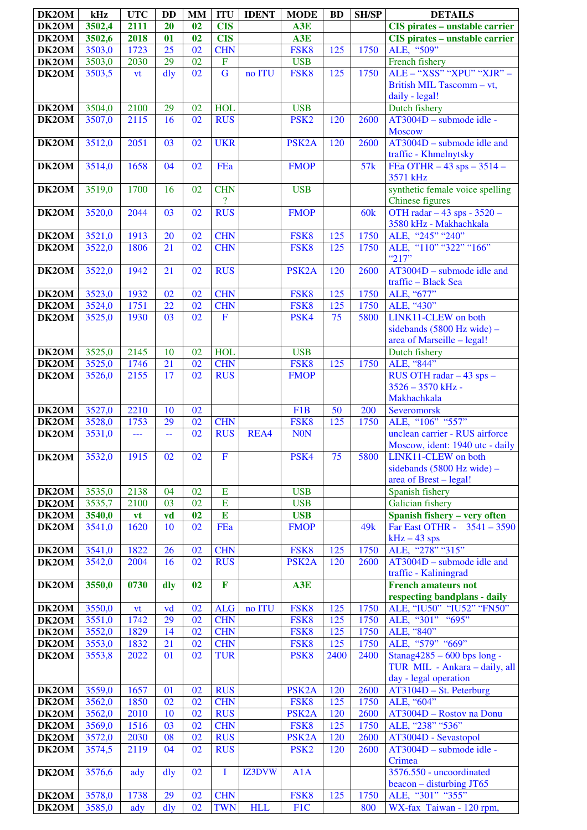| DK2OM          | kHz              | <b>UTC</b> | <b>DD</b>       | <b>MM</b>       | <b>ITU</b>               | <b>IDENT</b> | <b>MODE</b>        | <b>BD</b> | <b>SH/SP</b>    | <b>DETAILS</b>                                        |
|----------------|------------------|------------|-----------------|-----------------|--------------------------|--------------|--------------------|-----------|-----------------|-------------------------------------------------------|
| DK2OM          | 3502,4           | 2111       | 20              | 02              | <b>CIS</b>               |              | A3E                |           |                 | CIS pirates - unstable carrier                        |
| DK2OM          | 3502,6           | 2018       | 01              | 02              | <b>CIS</b>               |              | A3E                |           |                 | <b>CIS</b> pirates - unstable carrier                 |
| DK2OM          | 3503,0           | 1723       | $\overline{25}$ | $\overline{02}$ | <b>CHN</b>               |              | FSK8               | 125       | 1750            | ALE, "509"                                            |
| DK2OM          | 3503,0           | 2030       | 29              | $\overline{02}$ | $\overline{F}$           |              | <b>USB</b>         |           |                 | French fishery                                        |
| DK2OM          | 3503,5           | vt         | $\frac{d}{dy}$  | $\overline{02}$ | $\overline{G}$           | no ITU       | FSK8               | 125       | 1750            | ALE - "XSS" "XPU" "XJR" -                             |
|                |                  |            |                 |                 |                          |              |                    |           |                 | British MIL Tascomm - vt,                             |
|                |                  |            |                 |                 |                          |              |                    |           |                 | daily - legal!                                        |
| DK2OM          | 3504,0           | 2100       | 29              | 02              | <b>HOL</b>               |              | <b>USB</b>         |           |                 | Dutch fishery                                         |
| DK2OM          | 3507,0           | 2115       | 16              | 02              | <b>RUS</b>               |              | PSK <sub>2</sub>   | 120       | 2600            | AT3004D - submode idle -                              |
|                |                  |            |                 |                 |                          |              |                    |           |                 | <b>Moscow</b>                                         |
| DK2OM          | 3512,0           | 2051       | 03              | 02              | <b>UKR</b>               |              | PSK <sub>2</sub> A | 120       | 2600            | $\overline{AT3004}$ D – submode idle and              |
| DK2OM          | 3514,0           | 1658       | 04              | 02              | FEa                      |              | <b>FMOP</b>        |           | 57k             | traffic - Khmelnytsky<br>FEa OTHR $-43$ sps $-3514 -$ |
|                |                  |            |                 |                 |                          |              |                    |           |                 | 3571 kHz                                              |
| DK2OM          | 3519,0           | 1700       | 16              | 02              | <b>CHN</b>               |              | <b>USB</b>         |           |                 | synthetic female voice spelling                       |
|                |                  |            |                 |                 | $\overline{?}$           |              |                    |           |                 | Chinese figures                                       |
| DK2OM          | 3520,0           | 2044       | 03              | 02              | <b>RUS</b>               |              | <b>FMOP</b>        |           | 60k             | OTH radar $-43$ sps - $3520 -$                        |
|                |                  |            |                 |                 |                          |              |                    |           |                 | 3580 kHz - Makhachkala                                |
| DK2OM          | 3521,0           | 1913       | 20              | 02              | <b>CHN</b>               |              | FSK8               | 125       | 1750            | ALE, "245" "240"                                      |
| DK2OM          | 3522,0           | 1806       | 21              | 02              | <b>CHN</b>               |              | FSK8               | 125       | 1750            | ALE, "110" "322" "166"                                |
|                |                  |            |                 |                 |                          |              |                    |           |                 | "217"                                                 |
| DK2OM          | 3522,0           | 1942       | 21              | 02              | <b>RUS</b>               |              | PSK <sub>2</sub> A | 120       | 2600            | $AT3004D$ – submode idle and<br>traffic - Black Sea   |
| DK2OM          | 3523,0           | 1932       | 02              | 02              | <b>CHN</b>               |              | FSK8               | 125       | 1750            | ALE, "677"                                            |
| DK2OM          | 3524,0           | 1751       | 22              | 02              | <b>CHN</b>               |              | FSK8               | 125       | 1750            | ALE, "430"                                            |
| DK2OM          | 3525,0           | 1930       | 03              | 02              | $\mathbf F$              |              | PSK4               | 75        | 5800            | LINK11-CLEW on both                                   |
|                |                  |            |                 |                 |                          |              |                    |           |                 | sidebands $(5800 \text{ Hz wide})$ -                  |
|                |                  |            |                 |                 |                          |              |                    |           |                 | area of Marseille - legal!                            |
| DK2OM          | 3525,0           | 2145       | 10              | 02              | <b>HOL</b>               |              | <b>USB</b>         |           |                 | Dutch fishery                                         |
| DK2OM          | 3525,0           | 1746       | 21              | 02              | <b>CHN</b>               |              | FSK8               | 125       | 1750            | ALE, "844"                                            |
| DK2OM          | 3526,0           | 2155       | 17              | 02              | <b>RUS</b>               |              | <b>FMOP</b>        |           |                 | RUS OTH radar $-43$ sps $-$                           |
|                |                  |            |                 |                 |                          |              |                    |           |                 | 3526 - 3570 kHz -                                     |
|                |                  |            |                 |                 |                          |              |                    |           |                 | Makhachkala                                           |
| DK2OM          | 3527,0           | 2210       | 10              | 02              |                          |              | F1B                | 50        | 200             | Severomorsk                                           |
| DK2OM<br>DK2OM | 3528,0<br>3531,0 | 1753       | 29              | 02<br>02        | <b>CHN</b><br><b>RUS</b> | REA4         | FSK8<br><b>NON</b> | 125       | 1750            | ALE, "106" "557"<br>unclean carrier - RUS airforce    |
|                |                  | ---        | 44              |                 |                          |              |                    |           |                 | Moscow, ident: 1940 utc - daily                       |
| DK2OM          | 3532,0           | 1915       | 02              | 02              | $\overline{F}$           |              | PSK4               | 75        | 5800            | LINK11-CLEW on both                                   |
|                |                  |            |                 |                 |                          |              |                    |           |                 | sidebands $(5800 \text{ Hz wide})$ -                  |
|                |                  |            |                 |                 |                          |              |                    |           |                 | area of Brest – legal!                                |
| DK2OM          | 3535,0           | 2138       | 04              | 02              | E                        |              | <b>USB</b>         |           |                 | Spanish fishery                                       |
| DK2OM          | 3535,7           | 2100       | 03              | 02              | E                        |              | <b>USB</b>         |           |                 | Galician fishery                                      |
| DK2OM          | 3540,0           | vt         | vd              | 02              | $\bf{E}$                 |              | <b>USB</b>         |           |                 | Spanish fishery - very often                          |
| DK2OM          | 3541,0           | 1620       | 10              | 02              | FEa                      |              | <b>FMOP</b>        |           | 49 <sub>k</sub> | Far East OTHR - 3541 - 3590                           |
|                |                  |            |                 |                 |                          |              |                    |           |                 | $kHz - 43$ sps                                        |
| DK2OM          | 3541,0           | 1822       | 26              | 02              | <b>CHN</b>               |              | FSK8               | 125       | 1750            | ALE, "278" "315"<br>$AT3004D$ – submode idle and      |
| DK2OM          | 3542,0           | 2004       | 16              | 02              | <b>RUS</b>               |              | PSK <sub>2</sub> A | 120       | 2600            | traffic - Kaliningrad                                 |
| DK2OM          | 3550,0           | 0730       | dly             | 02              | $\mathbf{F}$             |              | A3E                |           |                 | <b>French amateurs not</b>                            |
|                |                  |            |                 |                 |                          |              |                    |           |                 | respecting bandplans - daily                          |
| DK2OM          | 3550,0           | <b>vt</b>  | vd              | 02              | <b>ALG</b>               | no ITU       | FSK8               | 125       | 1750            | ALE, "IU50" "IU52" "FN50"                             |
| DK2OM          | 3551,0           | 1742       | 29              | 02              | <b>CHN</b>               |              | FSK8               | 125       | 1750            | ALE, "301" "695"                                      |
| DK2OM          | 3552,0           | 1829       | 14              | 02              | <b>CHN</b>               |              | FSK8               | 125       | 1750            | ALE, "840"                                            |
| DK2OM          | 3553,0           | 1832       | 21              | 02              | <b>CHN</b>               |              | FSK8               | 125       | 1750            | ALE, "579" "669"                                      |
| DK2OM          | 3553,8           | 2022       | 01              | 02              | <b>TUR</b>               |              | PSK <sub>8</sub>   | 2400      | 2400            | Stanag $4285 - 600$ bps long -                        |
|                |                  |            |                 |                 |                          |              |                    |           |                 | TUR MIL - Ankara - daily, all                         |
| DK2OM          | 3559,0           | 1657       | 01              | 02              | <b>RUS</b>               |              | PSK <sub>2</sub> A | 120       | 2600            | day - legal operation<br>AT3104D - St. Peterburg      |
| DK2OM          | 3562,0           | 1850       | 02              | 02              | <b>CHN</b>               |              | FSK8               | 125       | 1750            | ALE, "604"                                            |
| DK2OM          | 3562,0           | 2010       | 10              | 02              | <b>RUS</b>               |              | PSK <sub>2</sub> A | 120       | 2600            | AT3004D - Rostov na Donu                              |
| DK2OM          | 3569,0           | 1516       | 03              | 02              | <b>CHN</b>               |              | FSK8               | 125       | 1750            | ALE, "238" "536"                                      |
| DK2OM          | 3572,0           | 2030       | 08              | 02              | <b>RUS</b>               |              | PSK <sub>2</sub> A | 120       | 2600            | AT3004D - Sevastopol                                  |
| DK2OM          | 3574,5           | 2119       | 04              | 02              | <b>RUS</b>               |              | PSK <sub>2</sub>   | 120       | 2600            | AT3004D - submode idle -                              |
|                |                  |            |                 |                 |                          |              |                    |           |                 | Crimea                                                |
| DK2OM          | 3576,6           | ady        | dly             | 02              | T                        | IZ3DVW       | A1A                |           |                 | 3576.550 - uncoordinated                              |
|                |                  |            |                 |                 |                          |              |                    |           |                 | beacon - disturbing JT65                              |
| DK2OM          | 3578,0           | 1738       | 29              | 02              | <b>CHN</b>               |              | FSK8               | 125       | 1750            | ALE, "301" "355"                                      |
| DK2OM          | 3585,0           | ady        | $\frac{d}{dy}$  | 02              | <b>TWN</b>               | <b>HLL</b>   | F1C                |           | 800             | WX-fax Taiwan - 120 rpm,                              |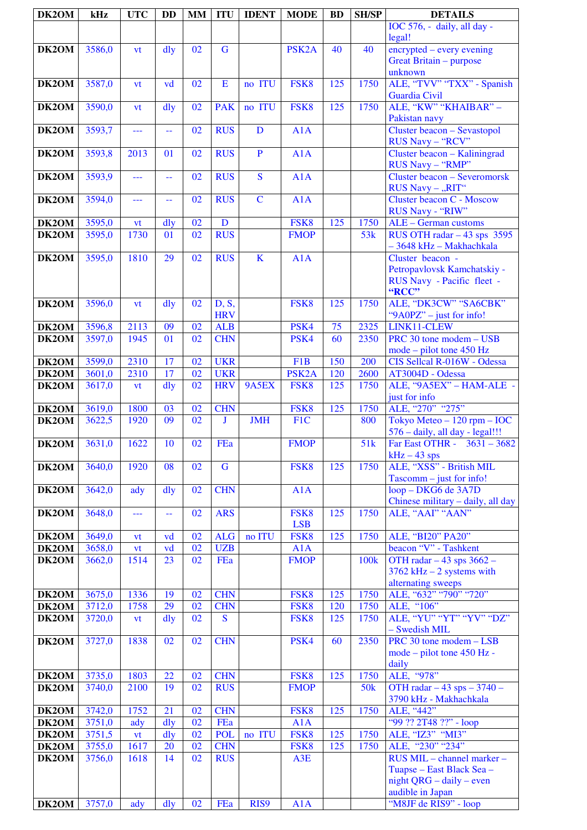| DK2OM              | kHz    | <b>UTC</b> | <b>DD</b>      | <b>MM</b> | <b>ITU</b>          | <b>IDENT</b>   | <b>MODE</b>        | <b>BD</b> | <b>SH/SP</b>     | <b>DETAILS</b>                                                                          |
|--------------------|--------|------------|----------------|-----------|---------------------|----------------|--------------------|-----------|------------------|-----------------------------------------------------------------------------------------|
|                    |        |            |                |           |                     |                |                    |           |                  | IOC 576, - daily, all day -<br>legal!                                                   |
| DK2OM              | 3586,0 | vt         | dly            | 02        | $\mathbf G$         |                | PSK <sub>2</sub> A | 40        | 40               | encrypted – every evening<br>Great Britain - purpose<br>unknown                         |
| DK2OM              | 3587,0 | vt         | vd             | 02        | ${\bf E}$           | no ITU         | FSK8               | 125       | 1750             | ALE, "TVV" "TXX" - Spanish<br>Guardia Civil                                             |
| DK2OM              | 3590,0 | <b>vt</b>  | dly            | 02        | <b>PAK</b>          | no ITU         | FSK8               | 125       | 1750             | ALE, "KW" "KHAIBAR" -<br>Pakistan navy                                                  |
| DK2OM              | 3593,7 | ---        | $-$            | 02        | <b>RUS</b>          | D              | A1A                |           |                  | Cluster beacon - Sevastopol<br>RUS Navy - "RCV"                                         |
| DK2OM              | 3593,8 | 2013       | 01             | 02        | <b>RUS</b>          | $\mathbf{P}$   | A1A                |           |                  | Cluster beacon - Kaliningrad<br>RUS Navy - "RMP"                                        |
| DK2OM              | 3593,9 | ---        | 44             | 02        | <b>RUS</b>          | $\mathbf S$    | A1A                |           |                  | <b>Cluster beacon - Severomorsk</b><br>RUS Navy - "RIT"                                 |
| DK2OM              | 3594,0 | ---        | 44             | 02        | <b>RUS</b>          | $\overline{C}$ | A1A                |           |                  | <b>Cluster beacon C - Moscow</b><br>RUS Navy - "RIW"                                    |
| DK2OM              | 3595,0 | vt         | dly            | 02        | D                   |                | FSK8               | 125       | 1750             | ALE - German customs                                                                    |
| DK2OM              | 3595,0 | 1730       | 01             | 02        | <b>RUS</b>          |                | <b>FMOP</b>        |           | 53k              | RUS OTH radar $-43$ sps 3595<br>- 3648 kHz - Makhachkala                                |
| DK2OM              | 3595,0 | 1810       | 29             | 02        | <b>RUS</b>          | $\mathbf K$    | A1A                |           |                  | Cluster beacon -<br>Petropavlovsk Kamchatskiy -<br>RUS Navy - Pacific fleet -<br>"RCC"  |
| DK2OM              | 3596,0 | vt         | dly            | 02        | D, S,<br><b>HRV</b> |                | FSK8               | 125       | 1750             | ALE, "DK3CW" "SA6CBK"<br>"9A0PZ" – just for info!                                       |
| DK2OM              | 3596,8 | 2113       | 09             | 02        | <b>ALB</b>          |                | PSK4               | 75        | 2325             | LINK11-CLEW                                                                             |
| DK2OM              | 3597,0 | 1945       | 01             | 02        | <b>CHN</b>          |                | PSK4               | 60        | 2350             | PRC 30 tone modem - USB<br>$mode$ – pilot tone 450 Hz                                   |
| DK2OM              | 3599,0 | 2310       | 17             | 02        | <b>UKR</b>          |                | F1B                | 150       | 200              | CIS Sellcal R-016W - Odessa                                                             |
| DK2OM              | 3601,0 | 2310       | 17             | 02        | <b>UKR</b>          |                | PSK <sub>2</sub> A | 120       | 2600             | AT3004D - Odessa                                                                        |
| DK2OM              | 3617,0 | vt         | $\frac{d}{dy}$ | 02        | <b>HRV</b>          | 9A5EX          | FSK8               | 125       | 1750             | ALE, "9A5EX" - HAM-ALE -<br>just for info                                               |
| DK2OM              | 3619,0 | 1800       | 03             | 02        | <b>CHN</b>          |                | FSK8               | 125       | 1750             | ALE, "270" "275"                                                                        |
| DK2OM              | 3622,5 | 1920       | 09             | 02        | J                   | <b>JMH</b>     | F1C                |           | 800              | Tokyo Meteo $-120$ rpm $-$ IOC<br>576 - daily, all day - legal!!!                       |
| DK2OM              | 3631,0 | 1622       | 10             | 02        | FEa                 |                | <b>FMOP</b>        |           | 51k              | Far East OTHR - $3631 - 3682$<br>$kHz - 43$ sps                                         |
| DK2OM              | 3640,0 | 1920       | 08             | 02        | $\mathbf G$         |                | FSK8               | 125       | 1750             | ALE, "XSS" - British MIL<br>$Tascomm - just for info!$                                  |
| DK <sub>2</sub> OM | 3642,0 | ady        | dly            | 02        | <b>CHN</b>          |                | A1A                |           |                  | loop - DKG6 de 3A7D<br>Chinese military - daily, all day<br>ALE, "AAI" "AAN"            |
| DK2OM              | 3648,0 | ---        | --             | 02        | <b>ARS</b>          |                | FSK8<br><b>LSB</b> | 125       | 1750             | ALE, "BI20" PA20"                                                                       |
| DK2OM              | 3649,0 | <b>vt</b>  | vd             | 02        | <b>ALG</b>          | no ITU         | FSK8               | 125       | 1750             |                                                                                         |
| DK2OM              | 3658,0 | <b>vt</b>  | vd             | 02        | <b>UZB</b>          |                | A1A                |           |                  | beacon "V" - Tashkent                                                                   |
| DK2OM              | 3662,0 | 1514       | 23             | 02        | FEa                 |                | <b>FMOP</b>        |           | 100 <sub>k</sub> | OTH radar $-43$ sps 3662 $-$<br>$3762$ kHz $-2$ systems with<br>alternating sweeps      |
| DK2OM              | 3675,0 | 1336       | 19             | 02        | <b>CHN</b>          |                | FSK8               | 125       | 1750             | ALE, "632" "790" "720"                                                                  |
| DK2OM              | 3712,0 | 1758       | 29             | 02        | <b>CHN</b>          |                | FSK8               | 120       | 1750             | ALE, "106"                                                                              |
| DK2OM              | 3720,0 | vt         | dly            | 02        | $\mathbf S$         |                | FSK8               | 125       | 1750             | ALE, "YU" "YT" "YV" "DZ"<br>- Swedish MIL                                               |
| DK2OM              | 3727,0 | 1838       | 02             | 02        | <b>CHN</b>          |                | PSK4               | 60        | 2350             | PRC 30 tone modem - LSB<br>mode – pilot tone 450 Hz -<br>daily                          |
| DK2OM              | 3735,0 | 1803       | 22             | 02        | <b>CHN</b>          |                | FSK8               | 125       | 1750             | ALE, "978"                                                                              |
| DK2OM              | 3740,0 | 2100       | 19             | 02        | <b>RUS</b>          |                | <b>FMOP</b>        |           | 50 <sub>k</sub>  | OTH radar $-43$ sps $-3740$ -<br>3790 kHz - Makhachkala                                 |
| DK2OM              | 3742,0 | 1752       | 21             | 02        | <b>CHN</b>          |                | FSK8               | 125       | 1750             | ALE, "442"                                                                              |
| DK2OM              | 3751,0 | ady        | dly            | 02        | FEa                 |                | A1A                |           |                  | "99 ?? 2T48 ??" - loop                                                                  |
| DK2OM              | 3751,5 | vt         | dly            | 02        | <b>POL</b>          | no ITU         | FSK8               | 125       | 1750             | ALE, "IZ3" "MI3"                                                                        |
| DK2OM              | 3755,0 | 1617       | 20             | 02        | <b>CHN</b>          |                | FSK8               | 125       | 1750             | ALE, "230" "234"                                                                        |
| DK2OM              | 3756,0 | 1618       | 14             | 02        | <b>RUS</b>          |                | A3E                |           |                  | RUS MIL - channel marker -<br>Tuapse – East Black Sea –<br>night QRG $-$ daily $-$ even |
| DK2OM              | 3757,0 | ady        | dly            | 02        | FEa                 | RIS9           | A1A                |           |                  | audible in Japan<br>"M8JF de RIS9" - loop                                               |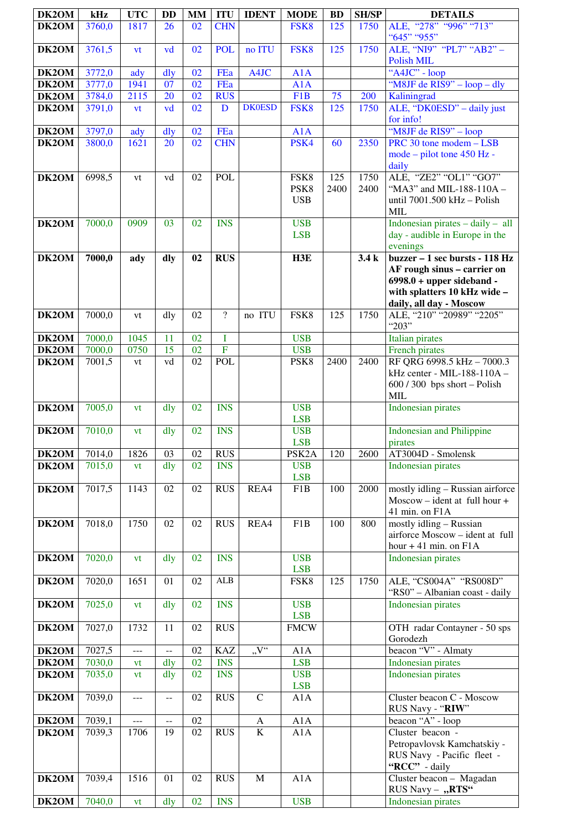| DK2OM          | kHz    | <b>UTC</b>     | DD        | <b>MM</b>       | <b>ITU</b>               | <b>IDENT</b>            | <b>MODE</b>                | <b>BD</b>   | <b>SH/SP</b> | <b>DETAILS</b>                                                                                                                                           |
|----------------|--------|----------------|-----------|-----------------|--------------------------|-------------------------|----------------------------|-------------|--------------|----------------------------------------------------------------------------------------------------------------------------------------------------------|
| DK2OM          | 3760,0 | 1817           | 26        | 02              | <b>CHN</b>               |                         | FSK8                       | 125         | 1750         | ALE, "278" "996" "713"                                                                                                                                   |
| DK2OM          | 3761,5 | vt             | vd        | 02              | <b>POL</b>               | no ITU                  | FSK8                       | 125         | 1750         | "645" "955"<br>ALE, "NI9" "PL7" "AB2" -                                                                                                                  |
|                | 3772,0 |                |           | 02              | FEa                      | A4JC                    | A1A                        |             |              | <b>Polish MIL</b><br>"A4JC" - loop                                                                                                                       |
| DK2OM<br>DK2OM | 3777,0 | ady<br>1941    | dly<br>07 | 02              | FEa                      |                         | A1A                        |             |              | "M8JF de RIS9" – loop – dly                                                                                                                              |
| DK2OM          | 3784,0 | 2115           | 20        | 02              | <b>RUS</b>               |                         | F <sub>1</sub> B           | 75          | 200          | Kaliningrad                                                                                                                                              |
| DK2OM          | 3791,0 | vt             | vd        | 02              | D                        | <b>DK0ESD</b>           | FSK8                       | 125         | 1750         | ALE, "DK0ESD" - daily just<br>for info!                                                                                                                  |
| DK2OM          | 3797,0 | ady            | dly       | 02              | FEa                      |                         | A1A                        |             |              | "M8JF de RIS9" - loop                                                                                                                                    |
| DK2OM          | 3800,0 | 1621           | 20        | 02              | <b>CHN</b>               |                         | PSK4                       | 60          | 2350         | PRC 30 tone modem - LSB<br>mode – pilot tone 450 Hz -<br>daily                                                                                           |
| DK2OM          | 6998,5 | vt             | vd        | 02              | <b>POL</b>               |                         | FSK8<br>PSK8<br><b>USB</b> | 125<br>2400 | 1750<br>2400 | ALE, "ZE2" "OL1" "GO7"<br>"MA3" and MIL-188-110A -<br>until 7001.500 kHz - Polish<br><b>MIL</b>                                                          |
| DK2OM          | 7000,0 | 0909           | 03        | 02              | <b>INS</b>               |                         | <b>USB</b><br><b>LSB</b>   |             |              | Indonesian pirates $-$ daily $-$ all<br>day - audible in Europe in the<br>evenings                                                                       |
| DK2OM          | 7000,0 | ady            | dly       | 02              | $R\overline{US}$         |                         | H3E                        |             | 3.4k         | buzzer $-1$ sec bursts - 118 Hz<br>AF rough sinus - carrier on<br>$6998.0 + upper sideband -$<br>with splatters 10 kHz wide -<br>daily, all day - Moscow |
| DK2OM          | 7000,0 | vt             | dly       | 02              | $\overline{\mathcal{L}}$ | no ITU                  | FSK8                       | 125         | 1750         | ALE, "210" "20989" "2205"<br>"203"                                                                                                                       |
| DK2OM          | 7000,0 | 1045           | 11        | 02              | I                        |                         | <b>USB</b>                 |             |              | <b>Italian</b> pirates                                                                                                                                   |
| DK2OM          | 7000,0 | 0750           | 15        | 02              | $\overline{F}$           |                         | <b>USB</b>                 |             |              | French pirates                                                                                                                                           |
| DK2OM          | 7001,5 | vt             | vd        | 02              | POL                      |                         | PSK8                       | 2400        | 2400         | RF QRG 6998.5 kHz - 7000.3<br>kHz center - MIL-188-110A -<br>$600 / 300$ bps short - Polish<br><b>MIL</b>                                                |
| DK2OM          | 7005,0 | vt             | dly       | 02              | <b>INS</b>               |                         | <b>USB</b><br><b>LSB</b>   |             |              | <b>Indonesian pirates</b>                                                                                                                                |
| DK2OM          | 7010,0 | vt             | dly       | 02              | <b>INS</b>               |                         | <b>USB</b><br><b>LSB</b>   |             |              | <b>Indonesian and Philippine</b><br>pirates                                                                                                              |
| DK2OM          | 7014,0 | 1826           | 03        | 02              | <b>RUS</b>               |                         | PSK <sub>2</sub> A         | 120         | 2600         | AT3004D - Smolensk                                                                                                                                       |
| DK2OM          | 7015,0 | vt             | dly       | 02              | <b>INS</b>               |                         | <b>USB</b><br><b>LSB</b>   |             |              | Indonesian pirates                                                                                                                                       |
| DK2OM          | 7017,5 | 1143           | 02        | 02              | <b>RUS</b>               | REA4                    | F1B                        | 100         | 2000         | mostly idling - Russian airforce<br>$Moscow - ident at full hour +$<br>41 min. on F1A                                                                    |
| DK2OM          | 7018,0 | 1750           | 02        | 02              | <b>RUS</b>               | REA4                    | F1B                        | 100         | 800          | mostly idling - Russian<br>airforce Moscow - ident at full<br>hour $+41$ min. on $F1A$                                                                   |
| DK2OM          | 7020,0 | vt             | dly       | 02              | <b>INS</b>               |                         | <b>USB</b><br><b>LSB</b>   |             |              | Indonesian pirates                                                                                                                                       |
| DK2OM          | 7020,0 | 1651           | 01        | 02              | ALB                      |                         | FSK8                       | 125         | 1750         | ALE, "CS004A" "RS008D"<br>"RS0" - Albanian coast - daily                                                                                                 |
| DK2OM          | 7025,0 | vt             | dly       | 02              | <b>INS</b>               |                         | <b>USB</b><br><b>LSB</b>   |             |              | <b>Indonesian pirates</b>                                                                                                                                |
| DK2OM          | 7027,0 | 1732           | 11        | 02              | <b>RUS</b>               |                         | <b>FMCW</b>                |             |              | OTH radar Contayner - 50 sps<br>Gorodezh                                                                                                                 |
| DK2OM          | 7027,5 | ---            | $- -$     | 02              | <b>KAZ</b>               | $\overline{V''}$        | A1A                        |             |              | beacon "V" - Almaty                                                                                                                                      |
| DK2OM          | 7030,0 | vt             | dly       | $\overline{02}$ | <b>INS</b>               |                         | <b>LSB</b>                 |             |              | <b>Indonesian pirates</b>                                                                                                                                |
| DK2OM          | 7035,0 | vt             | dly       | 02              | <b>INS</b>               |                         | <b>USB</b><br><b>LSB</b>   |             |              | Indonesian pirates                                                                                                                                       |
| DK2OM          | 7039,0 | ---            | $-$       | 02              | <b>RUS</b>               | $\overline{C}$          | A1A                        |             |              | Cluster beacon C - Moscow<br>RUS Navy - "RIW"                                                                                                            |
| DK2OM          | 7039,1 | $\overline{a}$ | $- -$     | 02              |                          | A                       | A1A                        |             |              | beacon "A" - loop                                                                                                                                        |
| <b>DK2OM</b>   | 7039,3 | 1706           | 19        | 02              | <b>RUS</b>               | $\overline{\mathbf{K}}$ | A1A                        |             |              | Cluster beacon -<br>Petropavlovsk Kamchatskiy -<br>RUS Navy - Pacific fleet -<br>"RCC" - daily                                                           |
| DK2OM          | 7039,4 | 1516           | 01        | 02              | <b>RUS</b>               | $\mathbf M$             | A1A                        |             |              | Cluster beacon - Magadan<br>RUS Navy - "RTS"                                                                                                             |
| DK2OM          | 7040,0 | vt             | dly       | 02              | <b>INS</b>               |                         | <b>USB</b>                 |             |              | <b>Indonesian pirates</b>                                                                                                                                |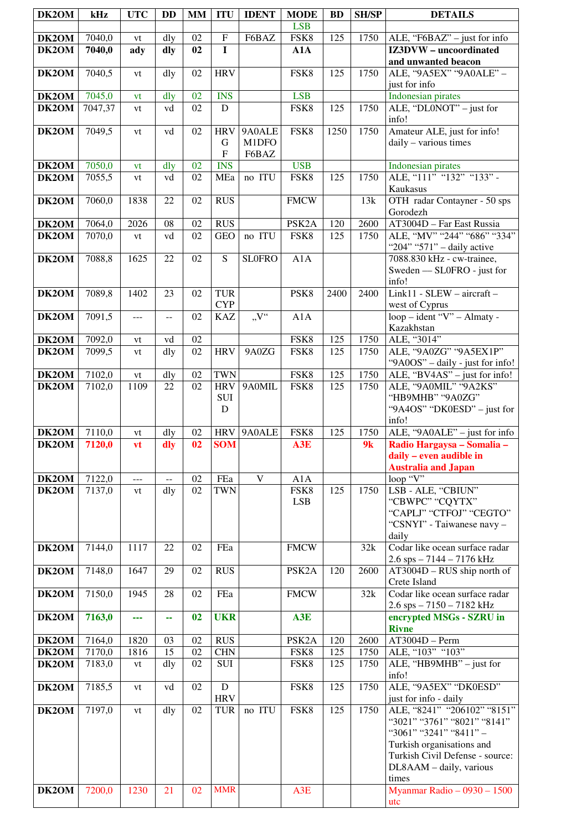| DK2OM          | kHz              | <b>UTC</b>    | <b>DD</b>                                     | MM              | <b>ITU</b>                     | <b>IDENT</b>             | <b>MODE</b>        | <b>BD</b>  | <b>SH/SP</b> | <b>DETAILS</b>                                                                                                                                                                           |
|----------------|------------------|---------------|-----------------------------------------------|-----------------|--------------------------------|--------------------------|--------------------|------------|--------------|------------------------------------------------------------------------------------------------------------------------------------------------------------------------------------------|
|                | 7040,0           | vt            | dly                                           | 02              | ${\bf F}$                      | F6BAZ                    | <b>LSB</b><br>FSK8 | 125        | 1750         |                                                                                                                                                                                          |
| DK2OM<br>DK2OM | 7040,0           | ady           | dly                                           | 02              | $\mathbf I$                    |                          | A1A                |            |              | ALE, "F6BAZ" - just for info<br>IZ3DVW - uncoordinated                                                                                                                                   |
| DK2OM          | 7040,5           |               |                                               | 02              | <b>HRV</b>                     |                          | FSK8               | 125        | 1750         | and unwanted beacon<br>ALE, "9A5EX" "9A0ALE" -                                                                                                                                           |
|                |                  | vt            | dly                                           |                 |                                |                          |                    |            |              | just for info                                                                                                                                                                            |
| DK2OM          | 7045,0           | vt            | dly                                           | 02              | <b>INS</b>                     |                          | <b>LSB</b>         |            |              | <b>Indonesian pirates</b>                                                                                                                                                                |
| DK2OM          | 7047,37          | vt            | vd                                            | $\overline{02}$ | $\overline{D}$                 |                          | FSK8               | 125        | 1750         | ALE, "DL0NOT" – just for<br>info!                                                                                                                                                        |
| DK2OM          | 7049,5           | vt            | vd                                            | 02              | <b>HRV</b><br>G<br>$\mathbf F$ | 9A0ALE<br>M1DFO<br>F6BAZ | FSK8               | 1250       | 1750         | Amateur ALE, just for info!<br>daily - various times                                                                                                                                     |
| DK2OM          | 7050,0           | vt            | dly                                           | 02              | <b>INS</b>                     |                          | <b>USB</b>         |            |              | Indonesian pirates                                                                                                                                                                       |
| DK2OM          | 7055,5           | vt            | vd                                            | 02              | MEa                            | no ITU                   | FSK8               | 125        | 1750         | ALE, "111" "132" "133" -<br>Kaukasus                                                                                                                                                     |
| DK2OM          | 7060,0           | 1838          | 22                                            | 02              | <b>RUS</b>                     |                          | <b>FMCW</b>        |            | 13k          | OTH radar Contayner - 50 sps<br>Gorodezh                                                                                                                                                 |
| DK2OM          | 7064,0           | 2026          | 08                                            | 02              | <b>RUS</b>                     |                          | PSK <sub>2</sub> A | 120        | 2600         | AT3004D - Far East Russia                                                                                                                                                                |
| DK2OM          | 7070,0           | vt            | vd                                            | 02              | <b>GEO</b>                     | no ITU                   | FSK8               | 125        | 1750         | ALE, "MV" "244" "686" "334"<br>"204" "571" - daily active                                                                                                                                |
| DK2OM          | 7088,8           | 1625          | 22                                            | 02              | S                              | <b>SLOFRO</b>            | A1A                |            |              | 7088.830 kHz - cw-trainee,<br>Sweden - SL0FRO - just for<br>info!                                                                                                                        |
| DK2OM          | 7089,8           | 1402          | 23                                            | 02              | <b>TUR</b>                     |                          | PSK8               | 2400       | 2400         | Link11 - SLEW - aircraft -                                                                                                                                                               |
|                |                  |               |                                               |                 | <b>CYP</b>                     |                          |                    |            |              | west of Cyprus                                                                                                                                                                           |
| DK2OM          | 7091,5           | ---           | $\overline{a}$                                | 02              | <b>KAZ</b>                     | $V^{\prime\prime}$       | A1A                |            |              | loop - ident "V" - Almaty -<br>Kazakhstan                                                                                                                                                |
| DK2OM          | 7092,0           | vt            | vd                                            | 02              |                                |                          | FSK8               | 125        | 1750         | ALE, "3014"                                                                                                                                                                              |
| DK2OM          | 7099,5           | vt            | dly                                           | 02              | <b>HRV</b>                     | 9A0ZG                    | FSK8               | 125        | 1750         | ALE, "9A0ZG" "9A5EX1P"<br>"9A0OS" - daily - just for info!                                                                                                                               |
| DK2OM          | 7102,0           | $\mathrm{vt}$ | dly                                           | 02              | <b>TWN</b>                     |                          | FSK8               | 125        | 1750         | ALE, "BV4AS" - just for info!                                                                                                                                                            |
| DK2OM          | 7102,0           | 1109          | 22                                            | 02              | <b>HRV</b><br>SUI<br>D         | 9A0MIL                   | FSK8               | 125        | 1750         | ALE, "9A0MIL" "9A2KS"<br>"HB9MHB" "9A0ZG"<br>"9A4OS" "DK0ESD" - just for<br>info!                                                                                                        |
| DK2OM          | 7110,0           | vt            | dly                                           | 02              | <b>HRV</b>                     | 9A0ALE                   | FSK8               | 125        | 1750         | ALE, "9A0ALE" - just for info                                                                                                                                                            |
| DK2OM          | 7120,0           | vt            | dly                                           | 02              | <b>SOM</b>                     |                          | A3E                |            | 9k           | Radio Hargaysa - Somalia -<br>daily – even audible in<br><b>Australia and Japan</b>                                                                                                      |
| DK2OM          | 7122,0           | $---$         | $\mathord{\hspace{1pt}\text{--}\hspace{1pt}}$ | 02              | FEa                            | $\mathbf V$              | A1A                |            |              | loop "V"                                                                                                                                                                                 |
| DK2OM          | 7137,0           | vt            | dly                                           | 02              | <b>TWN</b>                     |                          | FSK8<br><b>LSB</b> | 125        | 1750         | LSB - ALE, "CBIUN"<br>"CBWPC" "CQYTX"<br>"CAPLJ" "CTFOJ" "CEGTO"<br>"CSNYI" - Taiwanese navy -<br>daily                                                                                  |
| DK2OM          | 7144,0           | 1117          | 22                                            | 02              | FEa                            |                          | <b>FMCW</b>        |            | 32k          | Codar like ocean surface radar<br>$2.6$ sps $- 7144 - 7176$ kHz                                                                                                                          |
| DK2OM          | 7148,0           | 1647          | 29                                            | 02              | <b>RUS</b>                     |                          | PSK <sub>2</sub> A | 120        | 2600         | AT3004D - RUS ship north of<br>Crete Island                                                                                                                                              |
| DK2OM          | 7150,0           | 1945          | 28                                            | 02              | FEa                            |                          | <b>FMCW</b>        |            | 32k          | Codar like ocean surface radar<br>$2.6$ sps $- 7150 - 7182$ kHz                                                                                                                          |
| DK2OM          | 7163,0           |               | ۰.                                            | 02              | <b>UKR</b>                     |                          | A3E                |            |              | encrypted MSGs - SZRU in<br><b>Rivne</b>                                                                                                                                                 |
| DK2OM          | 7164,0           | 1820          | 03                                            | 02              | <b>RUS</b>                     |                          | PSK <sub>2</sub> A | 120        | 2600         | AT3004D - Perm<br>ALE, "103" "103"                                                                                                                                                       |
| DK2OM<br>DK2OM | 7170,0<br>7183,0 | 1816<br>vt    | 15<br>dly                                     | 02<br>02        | <b>CHN</b><br><b>SUI</b>       |                          | FSK8<br>FSK8       | 125<br>125 | 1750<br>1750 | ALE, "HB9MHB" - just for<br>info!                                                                                                                                                        |
| DK2OM          | 7185,5           | vt            | vd                                            | 02              | $\overline{D}$<br><b>HRV</b>   |                          | FSK8               | 125        | 1750         | ALE, "9A5EX" "DK0ESD"<br>just for info - daily                                                                                                                                           |
| DK2OM          | 7197,0           | vt            | dly                                           | 02              | <b>TUR</b>                     | no ITU                   | FSK8               | 125        | 1750         | ALE, "8241" "206102" "8151"<br>"3021" "3761" "8021" "8141"<br>"3061" "3241" "8411" -<br>Turkish organisations and<br>Turkish Civil Defense - source:<br>DL8AAM - daily, various<br>times |
| DK2OM          | 7200,0           | 1230          | 21                                            | 02              | <b>MMR</b>                     |                          | A3E                |            |              | Myanmar Radio $-0930 - 1500$<br>utc                                                                                                                                                      |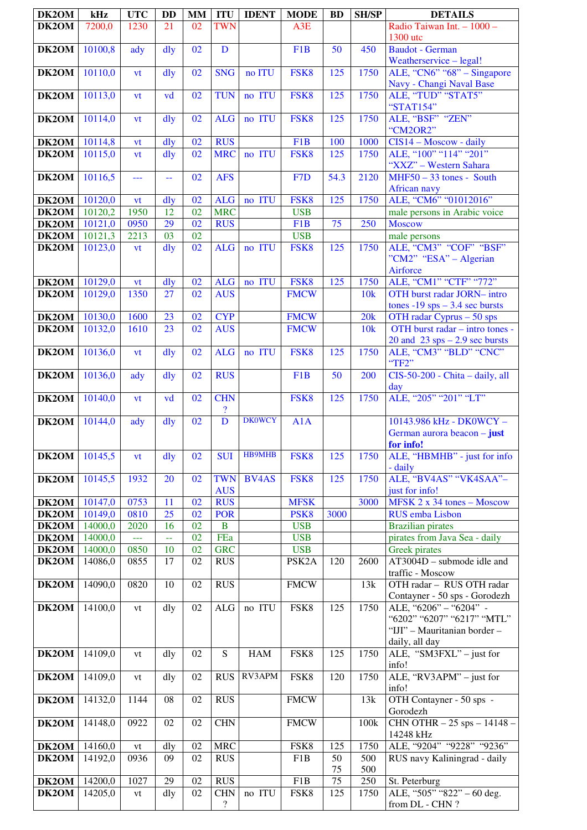| DK2OM                 | kHz                | <b>UTC</b>      | <b>DD</b>      | MM       | <b>ITU</b>                               | <b>IDENT</b>  | <b>MODE</b>                      | <b>BD</b>       | <b>SH/SP</b> | <b>DETAILS</b>                                               |
|-----------------------|--------------------|-----------------|----------------|----------|------------------------------------------|---------------|----------------------------------|-----------------|--------------|--------------------------------------------------------------|
| DK2OM                 | 7200,0             | 1230            | 21             | 02       | <b>TWN</b>                               |               | A3E                              |                 |              | Radio Taiwan Int. - 1000 -<br>1300 utc                       |
| DK2OM                 | 10100,8            | ady             | $\frac{d}{dy}$ | 02       | D                                        |               | F <sub>1</sub> B                 | 50              | 450          | Baudot - German                                              |
|                       |                    |                 |                |          |                                          |               |                                  |                 |              | Weatherservice - legal!                                      |
| DK2OM                 | 10110,0            | vt              | $\frac{d}{dy}$ | 02       | <b>SNG</b>                               | no ITU        | FSK8                             | 125             | 1750         | ALE, "CN6" "68" – Singapore                                  |
| DK2OM                 | 10113,0            | vt              | vd             | 02       | <b>TUN</b>                               | no ITU        | FSK8                             | 125             | 1750         | Navy - Changi Naval Base<br>ALE, "TUD" "STAT5"               |
|                       |                    |                 |                |          |                                          |               |                                  |                 |              | "STAT154"                                                    |
| DK2OM                 | 10114,0            | vt              | dly            | 02       | <b>ALG</b>                               | no ITU        | FSK8                             | 125             | 1750         | ALE, "BSF" "ZEN"                                             |
| DK2OM                 | 10114,8            | vt              | $\frac{d}{dy}$ | 02       | <b>RUS</b>                               |               | F1B                              | 100             | 1000         | "CM2OR2"<br>$CIS14 - Moscow - daily$                         |
| DK2OM                 | 10115,0            | vt              | $\frac{d}{dy}$ | 02       | <b>MRC</b>                               | no ITU        | FSK8                             | 125             | 1750         | ALE, "100" "114" "201"                                       |
|                       |                    |                 |                |          |                                          |               |                                  |                 |              | "XXZ" - Western Sahara                                       |
| DK2OM                 | 10116,5            | ---             | 44             | 02       | <b>AFS</b>                               |               | F <sub>7</sub> D                 | 54.3            | 2120         | $MHF50 - 33$ tones - South<br><b>African navy</b>            |
| <b>DK2OM</b>          | 10120,0            | vt              | $\frac{d}{dy}$ | 02       | <b>ALG</b>                               | no ITU        | FSK8                             | 125             | 1750         | ALE, "CM6" "01012016"                                        |
| DK2OM                 | 10120,2            | 1950            | 12             | 02       | <b>MRC</b>                               |               | <b>USB</b>                       |                 |              | male persons in Arabic voice                                 |
| DK2OM<br><b>DK2OM</b> | 10121,0<br>10121,3 | 0950<br>2213    | 29<br>03       | 02<br>02 | <b>RUS</b>                               |               | F <sub>1</sub> B<br><b>USB</b>   | 75              | 250          | <b>Moscow</b><br>male persons                                |
| DK2OM                 | 10123,0            | vt              | $\frac{d}{dy}$ | 02       | <b>ALG</b>                               | no ITU        | FSK8                             | 125             | 1750         | ALE, "CM3" "COF" "BSF"                                       |
|                       |                    |                 |                |          |                                          |               |                                  |                 |              | "CM2" "ESA" – Algerian<br>Airforce                           |
| DK2OM                 | 10129,0            | vt              | $\frac{d}{dy}$ | 02       | <b>ALG</b>                               | no ITU        | FSK8                             | 125             | 1750         | ALE, "CM1" "CTF" "772"                                       |
| DK2OM                 | 10129,0            | 1350            | 27             | 02       | <b>AUS</b>                               |               | <b>FMCW</b>                      |                 | 10k          | OTH burst radar JORN- intro                                  |
| DK2OM                 | 10130,0            | 1600            | 23             | 02       | <b>CYP</b>                               |               | <b>FMCW</b>                      |                 | 20k          | tones -19 sps $-3.4$ sec bursts<br>OTH radar Cyprus - 50 sps |
| DK2OM                 | 10132,0            | 1610            | 23             | 02       | <b>AUS</b>                               |               | <b>FMCW</b>                      |                 | 10k          | OTH burst radar - intro tones -                              |
|                       |                    |                 |                |          |                                          |               |                                  |                 |              | 20 and $23$ sps $-2.9$ sec bursts<br>ALE, "CM3" "BLD" "CNC"  |
| DK2OM                 | 10136,0            | vt              | $\frac{d}{dy}$ | 02       | <b>ALG</b>                               | no ITU        | FSK8                             | 125             | 1750         | "TF2"                                                        |
| DK2OM                 | 10136,0            | ady             | dly            | 02       | <b>RUS</b>                               |               | F1B                              | 50              | 200          | CIS-50-200 - Chita - daily, all<br>day                       |
| DK2OM                 | 10140,0            | vt              | vd             | 02       | <b>CHN</b><br>$\boldsymbol{\mathcal{P}}$ |               | FSK8                             | 125             | 1750         | ALE, "205" "201" "LT"                                        |
| DK2OM                 | 10144,0            | ady             | $\frac{d}{dy}$ | 02       | $\overline{D}$                           | <b>DK0WCY</b> | A1A                              |                 |              | 10143.986 kHz - DK0WCY -<br>German aurora beacon - just      |
|                       |                    |                 |                |          |                                          |               |                                  |                 |              | for info!                                                    |
| DK2OM                 | 10145,5            | <b>vt</b>       | dly            | 02       | <b>SUI</b>                               | <b>HB9MHB</b> | FSK8                             | 125             | 1750         | ALE, "HBMHB" - just for info<br>- daily                      |
| DK2OM                 | 10145,5            | 1932            | 20             | 02       | <b>TWN</b>                               | <b>BV4AS</b>  | FSK8                             | 125             | 1750         | ALE, "BV4AS" "VK4SAA"-                                       |
|                       |                    |                 |                |          | <b>AUS</b>                               |               |                                  |                 |              | just for info!                                               |
| DK2OM<br><b>DK2OM</b> | 10147,0<br>10149,0 | 0753<br>0810    | 11<br>25       | 02<br>02 | <b>RUS</b><br><b>POR</b>                 |               | <b>MFSK</b><br>PSK <sub>8</sub>  | 3000            | 3000         | MFSK 2 x 34 tones - Moscow<br>RUS emba Lisbon                |
| DK2OM                 | 14000,0            | 2020            | 16             | 02       | $\, {\bf B}$                             |               | <b>USB</b>                       |                 |              | <b>Brazilian pirates</b>                                     |
| DK2OM                 | 14000,0            | $\perp$ $\perp$ | u.             | 02       | FEa                                      |               | <b>USB</b>                       |                 |              | pirates from Java Sea - daily                                |
| <b>DK2OM</b><br>DK2OM | 14000,0<br>14086,0 | 0850<br>0855    | 10<br>17       | 02<br>02 | <b>GRC</b><br><b>RUS</b>                 |               | <b>USB</b><br>PSK <sub>2</sub> A | 120             | 2600         | <b>Greek</b> pirates<br>AT3004D - submode idle and           |
|                       |                    |                 |                |          |                                          |               |                                  |                 |              | traffic - Moscow                                             |
| DK2OM                 | 14090,0            | 0820            | 10             | 02       | <b>RUS</b>                               |               | <b>FMCW</b>                      |                 | 13k          | OTH radar - RUS OTH radar<br>Contayner - 50 sps - Gorodezh   |
| DK2OM                 | 14100,0            | vt              | dly            | 02       | $\rm ALG$                                | no ITU        | FSK8                             | 125             | 1750         | ALE, " $6206" - "6204" -$                                    |
|                       |                    |                 |                |          |                                          |               |                                  |                 |              | "6202" "6207" "6217" "MTL"                                   |
|                       |                    |                 |                |          |                                          |               |                                  |                 |              | "IJI" - Mauritanian border -<br>daily, all day               |
| DK2OM                 | 14109,0            | vt              | dly            | 02       | S                                        | <b>HAM</b>    | FSK8                             | 125             | 1750         | ALE, "SM3FXL" - just for                                     |
| DK2OM                 | 14109,0            | vt              | dly            | 02       | <b>RUS</b>                               | RV3APM        | FSK8                             | <b>120</b>      | 1750         | info!<br>ALE, "RV3APM" – just for                            |
|                       |                    |                 |                |          |                                          |               |                                  |                 |              | info!                                                        |
| DK2OM                 | 14132,0            | 1144            | 08             | 02       | <b>RUS</b>                               |               | <b>FMCW</b>                      |                 | 13k          | OTH Contayner - 50 sps -<br>Gorodezh                         |
| DK2OM                 | 14148,0            | 0922            | 02             | 02       | <b>CHN</b>                               |               | <b>FMCW</b>                      |                 | 100k         | CHN OTHR - 25 sps - 14148 -<br>14248 kHz                     |
| DK2OM                 | 14160,0            | vt              | dly            | 02       | <b>MRC</b>                               |               | FSK8                             | 125             | 1750         | ALE, "9204" "9228" "9236"                                    |
| DK2OM                 | 14192,0            | 0936            | 09             | 02       | <b>RUS</b>                               |               | F1B                              | 50<br>75        | 500<br>500   | RUS navy Kaliningrad - daily                                 |
| DK2OM                 | 14200,0            | 1027            | 29             | 02       | <b>RUS</b>                               |               | F1B                              | $\overline{75}$ | 250          | St. Peterburg                                                |
| DK2OM                 | 14205,0            | vt              | dly            | 02       | <b>CHN</b>                               | no ITU        | FSK8                             | 125             | 1750         | ALE, "505" "822" - 60 deg.                                   |
|                       |                    |                 |                |          | $\overline{\mathcal{L}}$                 |               |                                  |                 |              | from DL - CHN?                                               |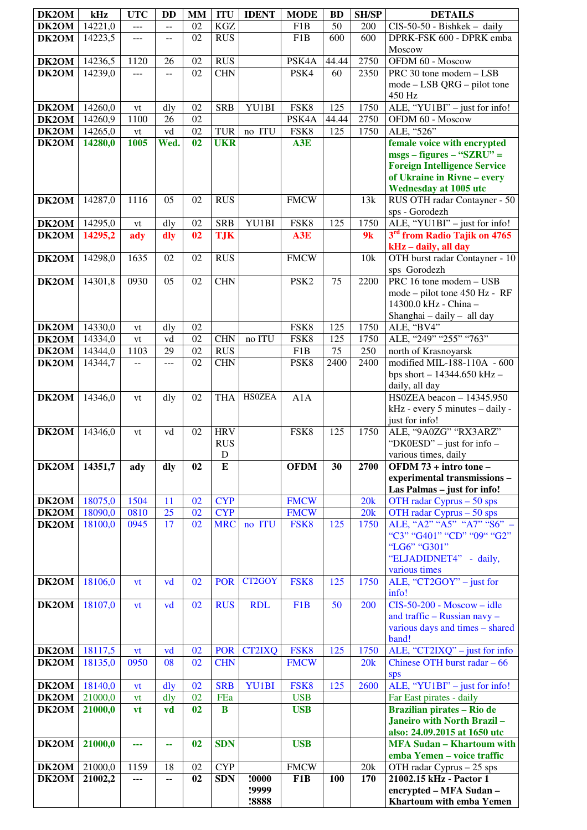| DK2OM | kHz     | <b>UTC</b> | <b>DD</b> | <b>MM</b> | <b>ITU</b> | <b>IDENT</b>  | <b>MODE</b>        | <b>BD</b> | <b>SH/SP</b> | <b>DETAILS</b>                                             |
|-------|---------|------------|-----------|-----------|------------|---------------|--------------------|-----------|--------------|------------------------------------------------------------|
| DK2OM | 14221,0 | ---        | --        | 02        | <b>KGZ</b> |               | F <sub>1</sub> B   | 50        | 200          | $\overline{CIS-50}$ -50 - Bishkek - daily                  |
| DK2OM | 14223,5 | $---$      | $-$       | 02        | <b>RUS</b> |               | F1B                | 600       | 600          | DPRK-FSK 600 - DPRK emba                                   |
|       |         |            |           |           |            |               |                    |           |              | Moscow                                                     |
| DK2OM | 14236,5 | 1120       | 26        | 02        | <b>RUS</b> |               | PSK4A              | 44.44     | 2750         | OFDM 60 - Moscow                                           |
| DK2OM | 14239,0 | ---        | --        | 02        | <b>CHN</b> |               | PSK4               | 60        | 2350         | PRC 30 tone modem - LSB                                    |
|       |         |            |           |           |            |               |                    |           |              | $mode - LSB QRG - pilot tone$                              |
|       |         |            |           |           |            |               |                    |           |              | 450 Hz                                                     |
| DK2OM | 14260,0 | vt         | dly       | 02        | <b>SRB</b> | YU1BI         | FSK8               | 125       | 1750         | ALE, "YU1BI" - just for info!                              |
| DK2OM | 14260,9 | 1100       | 26        | 02        |            |               | PSK <sub>4</sub> A | 44.44     | 2750         | OFDM 60 - Moscow                                           |
| DK2OM | 14265,0 | vt         | vd        | 02<br>02  | <b>TUR</b> | no ITU        | FSK8               | 125       | 1750         | ALE, "526"                                                 |
| DK2OM | 14280,0 | 1005       | Wed.      |           | <b>UKR</b> |               | A3E                |           |              | female voice with encrypted<br>$msgs - figures - "SZRU" =$ |
|       |         |            |           |           |            |               |                    |           |              | <b>Foreign Intelligence Service</b>                        |
|       |         |            |           |           |            |               |                    |           |              | of Ukraine in Rivne - every                                |
|       |         |            |           |           |            |               |                    |           |              | <b>Wednesday at 1005 utc</b>                               |
| DK2OM | 14287,0 | 1116       | 05        | 02        | <b>RUS</b> |               | <b>FMCW</b>        |           | 13k          | RUS OTH radar Contayner - 50                               |
|       |         |            |           |           |            |               |                    |           |              | sps - Gorodezh                                             |
| DK2OM | 14295,0 | vt         | dly       | 02        | <b>SRB</b> | YU1BI         | FSK8               | 125       | 1750         | ALE, "YU1BI" - just for info!                              |
| DK2OM | 14295,2 | ady        | dly       | 02        | <b>TJK</b> |               | A3E                |           | 9k           | 3 <sup>rd</sup> from Radio Tajik on 4765                   |
|       |         |            |           |           |            |               |                    |           |              | kHz - daily, all day                                       |
| DK2OM | 14298,0 | 1635       | 02        | 02        | <b>RUS</b> |               | <b>FMCW</b>        |           | 10k          | OTH burst radar Contayner - 10                             |
|       |         |            |           |           |            |               |                    |           |              | sps Gorodezh                                               |
| DK2OM | 14301,8 | 0930       | 05        | 02        | <b>CHN</b> |               | PSK <sub>2</sub>   | 75        | 2200         | PRC 16 tone modem - USB                                    |
|       |         |            |           |           |            |               |                    |           |              | mode – pilot tone 450 Hz - RF<br>14300.0 kHz - China -     |
|       |         |            |           |           |            |               |                    |           |              | Shanghai - daily - all day                                 |
| DK2OM | 14330,0 | vt         | dly       | 02        |            |               | FSK8               | 125       | 1750         | ALE, "BV4"                                                 |
| DK2OM | 14334,0 | vt         | vd        | 02        | <b>CHN</b> | no ITU        | FSK8               | 125       | 1750         | ALE, "249" "255" "763"                                     |
| DK2OM | 14344,0 | 1103       | 29        | 02        | <b>RUS</b> |               | F1B                | 75        | 250          | north of Krasnoyarsk                                       |
| DK2OM | 14344,7 | --         | $---$     | 02        | <b>CHN</b> |               | PSK8               | 2400      | 2400         | modified MIL-188-110A - 600                                |
|       |         |            |           |           |            |               |                    |           |              | bps short $- 14344.650$ kHz $-$                            |
|       |         |            |           |           |            |               |                    |           |              | daily, all day                                             |
| DK2OM | 14346,0 | vt         | dly       | 02        | <b>THA</b> | <b>HSOZEA</b> | A1A                |           |              | HS0ZEA beacon - 14345.950                                  |
|       |         |            |           |           |            |               |                    |           |              | kHz - every 5 minutes - daily -                            |
| DK2OM | 14346,0 |            | vd        | 02        | <b>HRV</b> |               | FSK8               | 125       | 1750         | just for info!<br>ALE, "9A0ZG" "RX3ARZ"                    |
|       |         | vt         |           |           | <b>RUS</b> |               |                    |           |              | "DK0ESD" – just for info –                                 |
|       |         |            |           |           | ${\bf D}$  |               |                    |           |              | various times, daily                                       |
| DK2OM | 14351,7 | ady        | dly       | 02        | E          |               | <b>OFDM</b>        | 30        | 2700         | OFDM 73 + intro tone -                                     |
|       |         |            |           |           |            |               |                    |           |              | experimental transmissions -                               |
|       |         |            |           |           |            |               |                    |           |              | Las Palmas - just for info!                                |
| DK2OM | 18075,0 | 1504       | 11        | 02        | <b>CYP</b> |               | <b>FMCW</b>        |           | 20k          | OTH radar Cyprus - 50 sps                                  |
| DK2OM | 18090,0 | 0810       | 25        | 02        | <b>CYP</b> |               | <b>FMCW</b>        |           | 20k          | OTH radar Cyprus - 50 sps                                  |
| DK2OM | 18100,0 | 0945       | 17        | 02        | <b>MRC</b> | no ITU        | FSK8               | 125       | 1750         | ALE, "A2" "A5" "A7" "S6" -                                 |
|       |         |            |           |           |            |               |                    |           |              | "C3" "G401" "CD" "09" "G2"<br>"LG6" "G301"                 |
|       |         |            |           |           |            |               |                    |           |              | "ELJADIDNET4" - daily,                                     |
|       |         |            |           |           |            |               |                    |           |              | various times                                              |
| DK2OM | 18106,0 | vt         | vd        | 02        | <b>POR</b> | CT2GOY        | FSK8               | 125       | 1750         | ALE, "CT2GOY" - just for                                   |
|       |         |            |           |           |            |               |                    |           |              | info!                                                      |
| DK2OM | 18107,0 | vt         | vd        | 02        | <b>RUS</b> | <b>RDL</b>    | F <sub>1</sub> B   | 50        | 200          | $CIS-50-200$ - Moscow - idle                               |
|       |         |            |           |           |            |               |                    |           |              | and traffic - Russian navy -                               |
|       |         |            |           |           |            |               |                    |           |              | various days and times - shared                            |
|       |         |            |           |           |            |               |                    |           |              | band!                                                      |
| DK2OM | 18117,5 | <b>vt</b>  | vd        | 02        | <b>POR</b> | <b>CT2IXQ</b> | FSK8               | 125       | 1750         | ALE, " $CT2IXQ"$ – just for info                           |
| DK2OM | 18135,0 | 0950       | 08        | 02        | <b>CHN</b> |               | <b>FMCW</b>        |           | 20k          | Chinese OTH burst radar $-66$                              |
| DK2OM | 18140,0 | <b>vt</b>  | dly       | 02        | <b>SRB</b> | YU1BI         | FSK8               | 125       | 2600         | sps<br>ALE, "YU1BI" - just for info!                       |
| DK2OM | 21000,0 | vt         | dly       | 02        | FEa        |               | <b>USB</b>         |           |              | Far East pirates - daily                                   |
| DK2OM | 21000,0 | <b>vt</b>  | vd        | 02        | $\bf{B}$   |               | <b>USB</b>         |           |              | <b>Brazilian pirates - Rio de</b>                          |
|       |         |            |           |           |            |               |                    |           |              | Janeiro with North Brazil-                                 |
|       |         |            |           |           |            |               |                    |           |              | also: 24.09.2015 at 1650 utc                               |
| DK2OM | 21000,0 | ---        | 44        | 02        | <b>SDN</b> |               | <b>USB</b>         |           |              | <b>MFA Sudan - Khartoum with</b>                           |
|       |         |            |           |           |            |               |                    |           |              | emba Yemen - voice traffic                                 |
| DK2OM | 21000,0 | 1159       | 18        | 02        | <b>CYP</b> |               | <b>FMCW</b>        |           | 20k          | OTH radar Cyprus - 25 sps                                  |
| DK2OM | 21002,2 | ---        | --        | 02        | <b>SDN</b> | !0000         | F1B                | 100       | 170          | 21002.15 kHz - Pactor 1                                    |
|       |         |            |           |           |            | !9999         |                    |           |              | encrypted - MFA Sudan -                                    |
|       |         |            |           |           |            | !8888         |                    |           |              | <b>Khartoum with emba Yemen</b>                            |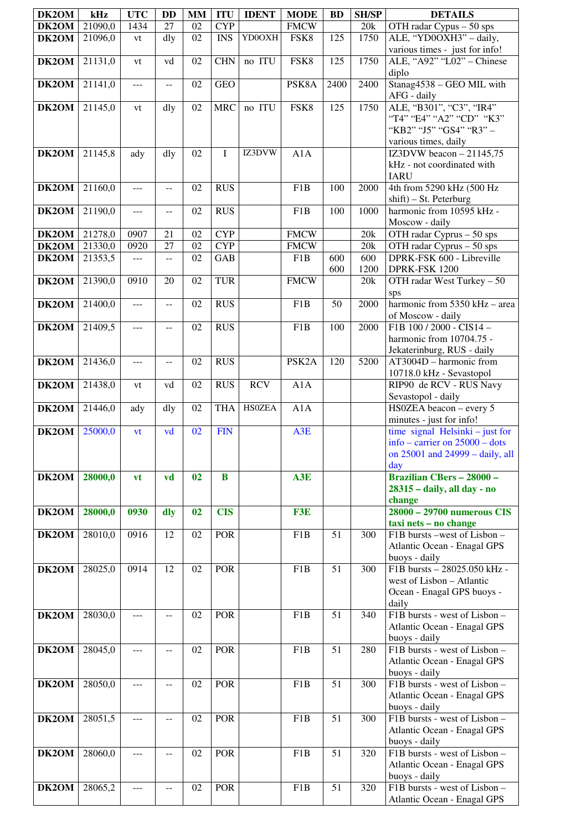| DK2OM              | kHz     | <b>UTC</b> | DD    | <b>MM</b> | <b>ITU</b>  | <b>IDENT</b>  | <b>MODE</b>        | <b>BD</b> | <b>SH/SP</b> | <b>DETAILS</b>                                                |
|--------------------|---------|------------|-------|-----------|-------------|---------------|--------------------|-----------|--------------|---------------------------------------------------------------|
| DK2OM              | 21090,0 | 1434       | 27    | 02        | <b>CYP</b>  |               | <b>FMCW</b>        |           | 20k          | OTH radar Cypus - 50 sps                                      |
| DK2OM              | 21096,0 | vt         | dly   | 02        | <b>INS</b>  | YD0OXH        | FSK8               | 125       | 1750         | ALE, "YD0OXH3" - daily,                                       |
|                    |         |            |       |           |             |               |                    |           |              | various times - just for info!                                |
| DK2OM              | 21131,0 | vt         | vd    | 02        | <b>CHN</b>  | no ITU        | FSK8               | 125       | 1750         | ALE, "A92" "L02" - Chinese                                    |
|                    |         |            |       | 02        | <b>GEO</b>  |               |                    |           |              | diplo                                                         |
| DK2OM              | 21141,0 | ---        | $-$   |           |             |               | PSK8A              | 2400      | 2400         | Stanag4538 - GEO MIL with<br>AFG - daily                      |
| DK2OM              | 21145,0 | vt         | dly   | 02        | <b>MRC</b>  | no ITU        | FSK8               | 125       | 1750         | ALE, "B301", "C3", "IR4"                                      |
|                    |         |            |       |           |             |               |                    |           |              | "T4" "E4" "A2" "CD" "K3"                                      |
|                    |         |            |       |           |             |               |                    |           |              | "KB2" "J5" "GS4" "R3" -                                       |
|                    |         |            |       |           |             |               |                    |           |              | various times, daily                                          |
| DK2OM              | 21145,8 | ady        | dly   | 02        | $\mathbf I$ | IZ3DVW        | A1A                |           |              | IZ3DVW beacon $-21145,75$                                     |
|                    |         |            |       |           |             |               |                    |           |              | kHz - not coordinated with                                    |
| DK2OM              | 21160,0 | ---        | $- -$ | 02        | <b>RUS</b>  |               | F <sub>1</sub> B   | 100       | 2000         | <b>IARU</b><br>4th from 5290 kHz (500 Hz                      |
|                    |         |            |       |           |             |               |                    |           |              | shift) - St. Peterburg                                        |
| DK2OM              | 21190,0 | ---        | $-$   | 02        | <b>RUS</b>  |               | F1B                | 100       | 1000         | harmonic from 10595 kHz -                                     |
|                    |         |            |       |           |             |               |                    |           |              | Moscow - daily                                                |
| DK2OM              | 21278,0 | 0907       | 21    | 02        | <b>CYP</b>  |               | <b>FMCW</b>        |           | 20k          | OTH radar Cyprus - 50 sps                                     |
| DK2OM              | 21330,0 | 0920       | 27    | 02        | <b>CYP</b>  |               | <b>FMCW</b>        |           | 20k          | OTH radar Cyprus $-50$ sps                                    |
| DK2OM              | 21353,5 | ---        | $-$   | 02        | <b>GAB</b>  |               | F1B                | 600       | 600          | DPRK-FSK 600 - Libreville                                     |
| DK2OM              | 21390,0 | 0910       | 20    | 02        | <b>TUR</b>  |               | <b>FMCW</b>        | 600       | 1200<br>20k  | DPRK-FSK 1200<br>OTH radar West Turkey - 50                   |
|                    |         |            |       |           |             |               |                    |           |              | sps                                                           |
| DK2OM              | 21400,0 | $---$      | $- -$ | 02        | <b>RUS</b>  |               | F <sub>1</sub> B   | 50        | 2000         | harmonic from 5350 kHz - area                                 |
|                    |         |            |       |           |             |               |                    |           |              | of Moscow - daily                                             |
| DK2OM              | 21409,5 | ---        | --    | 02        | <b>RUS</b>  |               | F <sub>1</sub> B   | 100       | 2000         | $F1B$ 100 / 2000 - CIS14 -                                    |
|                    |         |            |       |           |             |               |                    |           |              | harmonic from 10704.75 -                                      |
| DK2OM              | 21436,0 |            |       | 02        | <b>RUS</b>  |               | PSK <sub>2</sub> A | 120       | 5200         | Jekaterinburg, RUS - daily<br>AT3004D - harmonic from         |
|                    |         | $---$      | $- -$ |           |             |               |                    |           |              | 10718.0 kHz - Sevastopol                                      |
| DK2OM              | 21438,0 | vt         | vd    | 02        | <b>RUS</b>  | <b>RCV</b>    | A1A                |           |              | RIP90 de RCV - RUS Navy                                       |
|                    |         |            |       |           |             |               |                    |           |              | Sevastopol - daily                                            |
| DK2OM              | 21446,0 | ady        | dly   | 02        | <b>THA</b>  | <b>HSOZEA</b> | A1A                |           |              | HS0ZEA beacon - every 5                                       |
| $\overline{DK2OM}$ | 25000,0 | vt         | vd    | 02        | <b>FIN</b>  |               | A3E                |           |              | minutes - just for info!<br>time signal Helsinki $-$ just for |
|                    |         |            |       |           |             |               |                    |           |              | info – carrier on $25000$ – dots                              |
|                    |         |            |       |           |             |               |                    |           |              | on $25001$ and $24999 -$ daily, all                           |
|                    |         |            |       |           |             |               |                    |           |              | day                                                           |
| DK2OM              | 28000,0 | vt         | vd    | 02        | B           |               | A3E                |           |              | <b>Brazilian CBers - 28000 -</b>                              |
|                    |         |            |       |           |             |               |                    |           |              | 28315 - daily, all day - no                                   |
| DK2OM              | 28000,0 | 0930       | dly   | 02        | <b>CIS</b>  |               | F3E                |           |              | change<br>28000 - 29700 numerous CIS                          |
|                    |         |            |       |           |             |               |                    |           |              | taxi nets - no change                                         |
| DK2OM              | 28010,0 | 0916       | 12    | 02        | <b>POR</b>  |               | F1B                | 51        | 300          | F1B bursts -west of Lisbon -                                  |
|                    |         |            |       |           |             |               |                    |           |              | Atlantic Ocean - Enagal GPS                                   |
|                    |         |            |       |           |             |               |                    |           |              | buoys - daily                                                 |
| DK2OM              | 28025,0 | 0914       | 12    | 02        | <b>POR</b>  |               | F <sub>1</sub> B   | 51        | 300          | F1B bursts - 28025.050 kHz -<br>west of Lisbon - Atlantic     |
|                    |         |            |       |           |             |               |                    |           |              | Ocean - Enagal GPS buoys -                                    |
|                    |         |            |       |           |             |               |                    |           |              | daily                                                         |
| DK2OM              | 28030,0 | ---        | $-$   | 02        | <b>POR</b>  |               | F <sub>1</sub> B   | 51        | 340          | F1B bursts - west of Lisbon -                                 |
|                    |         |            |       |           |             |               |                    |           |              | Atlantic Ocean - Enagal GPS                                   |
|                    |         |            |       |           |             |               |                    |           |              | buoys - daily<br>F1B bursts - west of Lisbon -                |
| DK2OM              | 28045,0 | ---        | $- -$ | 02        | POR         |               | F1B                | 51        | 280          | Atlantic Ocean - Enagal GPS                                   |
|                    |         |            |       |           |             |               |                    |           |              | buoys - daily                                                 |
| DK2OM              | 28050,0 | ---        | $-$   | 02        | <b>POR</b>  |               | F1B                | 51        | 300          | F1B bursts - west of Lisbon -                                 |
|                    |         |            |       |           |             |               |                    |           |              | Atlantic Ocean - Enagal GPS                                   |
|                    |         |            |       |           |             |               |                    |           |              | buoys - daily                                                 |
| DK2OM              | 28051,5 | ---        |       | 02        | <b>POR</b>  |               | F1B                | 51        | 300          | F1B bursts - west of Lisbon -                                 |
|                    |         |            |       |           |             |               |                    |           |              | Atlantic Ocean - Enagal GPS<br>buoys - daily                  |
| DK2OM              | 28060,0 | ---        | $-$   | 02        | <b>POR</b>  |               | F1B                | 51        | 320          | F1B bursts - west of Lisbon -                                 |
|                    |         |            |       |           |             |               |                    |           |              | Atlantic Ocean - Enagal GPS                                   |
|                    |         |            |       |           |             |               |                    |           |              | buoys - daily                                                 |
| DK2OM              | 28065,2 | ---        | --    | 02        | <b>POR</b>  |               | F1B                | 51        | 320          | F1B bursts - west of Lisbon -                                 |
|                    |         |            |       |           |             |               |                    |           |              | Atlantic Ocean - Enagal GPS                                   |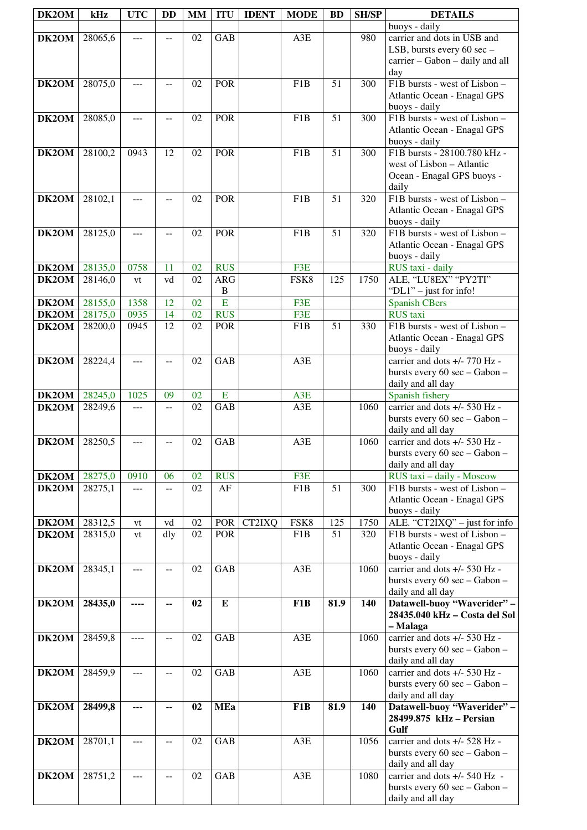| DK2OM          | kHz                | <b>UTC</b>     | <b>DD</b> | <b>MM</b> | <b>ITU</b>               | <b>IDENT</b> | <b>MODE</b>      | <b>BD</b>       | <b>SH/SP</b> | <b>DETAILS</b>                                                   |
|----------------|--------------------|----------------|-----------|-----------|--------------------------|--------------|------------------|-----------------|--------------|------------------------------------------------------------------|
| DK2OM          | 28065,6            | ---            | $-$       | 02        | <b>GAB</b>               |              | A3E              |                 | 980          | buoys - daily<br>carrier and dots in USB and                     |
|                |                    |                |           |           |                          |              |                  |                 |              | LSB, bursts every 60 sec -                                       |
|                |                    |                |           |           |                          |              |                  |                 |              | carrier - Gabon - daily and all                                  |
|                |                    |                |           |           |                          |              |                  |                 |              | day                                                              |
| DK2OM          | 28075,0            | $---$          | --        | 02        | <b>POR</b>               |              | F <sub>1</sub> B | 51              | 300          | F1B bursts - west of Lisbon -                                    |
|                |                    |                |           |           |                          |              |                  |                 |              | Atlantic Ocean - Enagal GPS<br>buoys - daily                     |
| DK2OM          | 28085,0            | $---$          | --        | 02        | <b>POR</b>               |              | F <sub>1</sub> B | $\overline{51}$ | 300          | F1B bursts - west of Lisbon -                                    |
|                |                    |                |           |           |                          |              |                  |                 |              | Atlantic Ocean - Enagal GPS                                      |
|                |                    |                |           |           |                          |              |                  |                 |              | buoys - daily                                                    |
| DK2OM          | 28100,2            | 0943           | 12        | 02        | <b>POR</b>               |              | F <sub>1</sub> B | 51              | 300          | F1B bursts - 28100.780 kHz -<br>west of Lisbon - Atlantic        |
|                |                    |                |           |           |                          |              |                  |                 |              | Ocean - Enagal GPS buoys -                                       |
|                |                    |                |           |           |                          |              |                  |                 |              | daily                                                            |
| DK2OM          | 28102,1            | $-$            | $-$       | 02        | <b>POR</b>               |              | F <sub>1</sub> B | 51              | 320          | F1B bursts - west of Lisbon -                                    |
|                |                    |                |           |           |                          |              |                  |                 |              | Atlantic Ocean - Enagal GPS<br>buoys - daily                     |
| DK2OM          | 28125,0            | $\overline{a}$ | $-$       | 02        | <b>POR</b>               |              | F <sub>1</sub> B | $\overline{51}$ | 320          | F1B bursts - west of Lisbon -                                    |
|                |                    |                |           |           |                          |              |                  |                 |              | Atlantic Ocean - Enagal GPS                                      |
|                |                    |                |           |           |                          |              |                  |                 |              | buoys - daily                                                    |
| DK2OM<br>DK2OM | 28135,0<br>28146,0 | 0758<br>vt     | 11<br>vd  | 02<br>02  | <b>RUS</b><br><b>ARG</b> |              | F3E<br>FSK8      | 125             | 1750         | RUS taxi - daily<br>ALE, "LU8EX" "PY2TI"                         |
|                |                    |                |           |           | $\mathbf B$              |              |                  |                 |              | "DL1" - just for info!                                           |
| DK2OM          | 28155,0            | 1358           | 12        | 02        | $\overline{E}$           |              | F3E              |                 |              | <b>Spanish CBers</b>                                             |
| DK2OM          | 28175,0            | 0935           | 14        | 02        | <b>RUS</b>               |              | F3E              |                 |              | <b>RUS</b> taxi                                                  |
| DK2OM          | 28200,0            | 0945           | 12        | 02        | <b>POR</b>               |              | F <sub>1</sub> B | 51              | 330          | F1B bursts - west of Lisbon -                                    |
|                |                    |                |           |           |                          |              |                  |                 |              | Atlantic Ocean - Enagal GPS<br>buoys - daily                     |
| DK2OM          | 28224,4            | ---            | $-$       | 02        | <b>GAB</b>               |              | A3E              |                 |              | carrier and dots +/- 770 Hz -                                    |
|                |                    |                |           |           |                          |              |                  |                 |              | bursts every 60 sec - Gabon -                                    |
| DK2OM          | 28245,0            |                | 09        | 02        | E                        |              |                  |                 |              | daily and all day<br>Spanish fishery                             |
| DK2OM          | 28249,6            | 1025<br>---    | $-$       | 02        | <b>GAB</b>               |              | A3E<br>A3E       |                 | 1060         | carrier and dots +/- 530 Hz -                                    |
|                |                    |                |           |           |                          |              |                  |                 |              | bursts every 60 sec - Gabon -                                    |
|                |                    |                |           |           |                          |              |                  |                 |              | daily and all day                                                |
| DK2OM          | 28250,5            | ---            | $-$       | 02        | GAB                      |              | A3E              |                 | 1060         | carrier and dots +/- 530 Hz -<br>bursts every 60 sec - Gabon -   |
|                |                    |                |           |           |                          |              |                  |                 |              | daily and all day                                                |
| DK2OM          | 28275,0            | 0910           | 06        | 02        | <b>RUS</b>               |              | F3E              |                 |              | RUS taxi - daily - Moscow                                        |
| DK2OM          | 28275,1            | ---            | --        | 02        | AF                       |              | F1B              | 51              | 300          | F1B bursts - west of Lisbon -                                    |
|                |                    |                |           |           |                          |              |                  |                 |              | Atlantic Ocean - Enagal GPS<br>buoys - daily                     |
| DK2OM          | 28312,5            | vt             | vd        | 02        | <b>POR</b>               | CT2IXQ       | FSK8             | 125             | 1750         | ALE. "CT2IXQ" - just for info                                    |
| DK2OM          | 28315,0            | vt             | dly       | 02        | <b>POR</b>               |              | F1B              | 51              | 320          | F1B bursts - west of Lisbon -                                    |
|                |                    |                |           |           |                          |              |                  |                 |              | Atlantic Ocean - Enagal GPS                                      |
| DK2OM          | 28345,1            | ---            | --        | 02        | GAB                      |              | A3E              |                 | 1060         | buoys - daily<br>carrier and dots +/- 530 Hz -                   |
|                |                    |                |           |           |                          |              |                  |                 |              | bursts every 60 sec - Gabon -                                    |
|                |                    |                |           |           |                          |              |                  |                 |              | daily and all day                                                |
| DK2OM          | 28435,0            |                | --        | 02        | ${\bf E}$                |              | F <sub>1</sub> B | 81.9            | 140          | Datawell-buoy "Waverider" -                                      |
|                |                    |                |           |           |                          |              |                  |                 |              | 28435.040 kHz - Costa del Sol<br>- Malaga                        |
| DK2OM          | 28459,8            |                | $-$       | 02        | <b>GAB</b>               |              | A3E              |                 | 1060         | carrier and dots +/- 530 Hz -                                    |
|                |                    |                |           |           |                          |              |                  |                 |              | bursts every 60 sec - Gabon -                                    |
|                |                    |                |           |           |                          |              |                  |                 |              | daily and all day<br>carrier and dots +/- 530 Hz -               |
| DK2OM          | 28459,9            | ---            | --        | 02        | GAB                      |              | A3E              |                 | 1060         | bursts every 60 sec - Gabon -                                    |
|                |                    |                |           |           |                          |              |                  |                 |              | daily and all day                                                |
| DK2OM          | 28499,8            | ---            | --        | 02        | <b>MEa</b>               |              | F <sub>1</sub> B | 81.9            | 140          | Datawell-buoy "Waverider" -                                      |
|                |                    |                |           |           |                          |              |                  |                 |              | 28499.875 kHz - Persian                                          |
| DK2OM          | 28701,1            | ---            | $-$       | 02        | <b>GAB</b>               |              | A3E              |                 | 1056         | Gulf<br>carrier and dots +/- 528 Hz -                            |
|                |                    |                |           |           |                          |              |                  |                 |              | bursts every 60 sec - Gabon -                                    |
|                |                    |                |           |           |                          |              |                  |                 |              | daily and all day                                                |
| DK2OM          | 28751,2            | $---$          | --        | 02        | GAB                      |              | A3E              |                 | 1080         | carrier and dots $+/- 540$ Hz -<br>bursts every 60 sec - Gabon - |
|                |                    |                |           |           |                          |              |                  |                 |              | daily and all day                                                |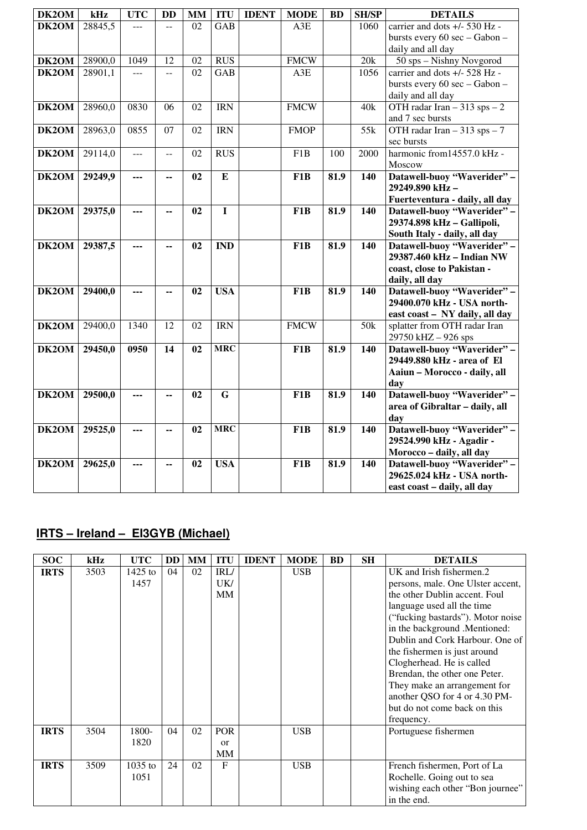| DK2OM | kHz     | <b>UTC</b> | <b>DD</b>       | <b>MM</b> | <b>ITU</b>              | <b>IDENT</b> | <b>MODE</b>      | <b>BD</b> | <b>SH/SP</b> | <b>DETAILS</b>                 |
|-------|---------|------------|-----------------|-----------|-------------------------|--------------|------------------|-----------|--------------|--------------------------------|
| DK2OM | 28845,5 |            |                 | 02        | <b>GAB</b>              |              | A3E              |           | 1060         | carrier and dots +/- 530 Hz -  |
|       |         |            |                 |           |                         |              |                  |           |              | bursts every 60 sec - Gabon -  |
|       |         |            |                 |           |                         |              |                  |           |              | daily and all day              |
| DK2OM | 28900,0 | 1049       | $\overline{12}$ | 02        | <b>RUS</b>              |              | <b>FMCW</b>      |           | 20k          | 50 sps - Nishny Novgorod       |
| DK2OM | 28901,1 | ---        | $\overline{a}$  | 02        | GAB                     |              | A3E              |           | 1056         | carrier and dots +/- 528 Hz -  |
|       |         |            |                 |           |                         |              |                  |           |              | bursts every 60 sec - Gabon -  |
|       |         |            |                 |           |                         |              |                  |           |              | daily and all day              |
| DK2OM | 28960,0 | 0830       | 06              | 02        | <b>IRN</b>              |              | <b>FMCW</b>      |           | 40k          | OTH radar Iran $-313$ sps $-2$ |
|       |         |            |                 |           |                         |              |                  |           |              | and 7 sec bursts               |
| DK2OM | 28963,0 | 0855       | 07              | 02        | <b>IRN</b>              |              | <b>FMOP</b>      |           | 55k          | OTH radar Iran $-313$ sps $-7$ |
|       |         |            |                 |           |                         |              |                  |           |              | sec bursts                     |
| DK2OM | 29114,0 | ---        | $- -$           | 02        | <b>RUS</b>              |              | F <sub>1</sub> B | 100       | 2000         | harmonic from14557.0 kHz -     |
|       |         |            |                 |           |                         |              |                  |           |              | Moscow                         |
| DK2OM | 29249,9 | ---        | --              | 02        | ${\bf E}$               |              | F <sub>1</sub> B | 81.9      | 140          | Datawell-buoy "Waverider" -    |
|       |         |            |                 |           |                         |              |                  |           |              | 29249.890 kHz-                 |
|       |         |            |                 |           |                         |              |                  |           |              | Fuerteventura - daily, all day |
| DK2OM | 29375,0 | ---        | --              | 02        | $\mathbf I$             |              | F1B              | 81.9      | 140          | Datawell-buoy "Waverider" -    |
|       |         |            |                 |           |                         |              |                  |           |              | 29374.898 kHz - Gallipoli,     |
|       |         |            |                 |           |                         |              |                  |           |              | South Italy - daily, all day   |
| DK2OM | 29387,5 | ---        | ۰.              | 02        | <b>IND</b>              |              | F <sub>1</sub> B | 81.9      | 140          | Datawell-buoy "Waverider" -    |
|       |         |            |                 |           |                         |              |                  |           |              | 29387.460 kHz - Indian NW      |
|       |         |            |                 |           |                         |              |                  |           |              | coast, close to Pakistan -     |
|       |         |            |                 |           |                         |              |                  |           |              | daily, all day                 |
| DK2OM | 29400,0 | ---        | ٠.              | 02        | <b>USA</b>              |              | F <sub>1</sub> B | 81.9      | 140          | Datawell-buoy "Waverider" -    |
|       |         |            |                 |           |                         |              |                  |           |              | 29400.070 kHz - USA north-     |
|       |         |            |                 |           |                         |              |                  |           |              | east coast - NY daily, all day |
| DK2OM | 29400,0 | 1340       | 12              | 02        | <b>IRN</b>              |              | <b>FMCW</b>      |           | 50k          | splatter from OTH radar Iran   |
|       |         |            |                 |           |                         |              |                  |           |              | 29750 kHZ-926 sps              |
| DK2OM | 29450,0 | 0950       | 14              | 02        | <b>MRC</b>              |              | F <sub>1</sub> B | 81.9      | 140          | Datawell-buoy "Waverider" -    |
|       |         |            |                 |           |                         |              |                  |           |              | 29449.880 kHz - area of El     |
|       |         |            |                 |           |                         |              |                  |           |              | Aaiun - Morocco - daily, all   |
|       |         |            |                 |           |                         |              |                  |           |              | day                            |
| DK2OM | 29500,0 | ---        | --              | 02        | $\overline{\mathbf{G}}$ |              | F <sub>1</sub> B | 81.9      | 140          | Datawell-buoy "Waverider" -    |
|       |         |            |                 |           |                         |              |                  |           |              | area of Gibraltar - daily, all |
|       |         |            |                 |           |                         |              |                  |           |              | day                            |
| DK2OM | 29525,0 | ---        | --              | 02        | <b>MRC</b>              |              | F <sub>1</sub> B | 81.9      | 140          | Datawell-buoy "Waverider" -    |
|       |         |            |                 |           |                         |              |                  |           |              | 29524.990 kHz - Agadir -       |
|       |         |            |                 |           |                         |              |                  |           |              | Morocco - daily, all day       |
| DK2OM | 29625,0 | ---        | --              | 02        | <b>USA</b>              |              | F <sub>1</sub> B | 81.9      | 140          | Datawell-buoy "Waverider" -    |
|       |         |            |                 |           |                         |              |                  |           |              | 29625.024 kHz - USA north-     |
|       |         |            |                 |           |                         |              |                  |           |              | east coast - daily, all day    |

# **IRTS – Ireland – EI3GYB (Michael)**

| <b>SOC</b>  | kHz  | <b>UTC</b>        | DD | MМ | <b>ITU</b>                    | <b>IDENT</b> | <b>MODE</b> | <b>BD</b> | SН | <b>DETAILS</b>                                                                                                                                                                                                                                                                                                                                                                                                                                     |
|-------------|------|-------------------|----|----|-------------------------------|--------------|-------------|-----------|----|----------------------------------------------------------------------------------------------------------------------------------------------------------------------------------------------------------------------------------------------------------------------------------------------------------------------------------------------------------------------------------------------------------------------------------------------------|
| <b>IRTS</b> | 3503 | $1425$ to<br>1457 | 04 | 02 | IRL/<br>UK/<br><b>MM</b>      |              | <b>USB</b>  |           |    | UK and Irish fishermen.2<br>persons, male. One Ulster accent,<br>the other Dublin accent. Foul<br>language used all the time<br>("fucking bastards"). Motor noise<br>in the background .Mentioned:<br>Dublin and Cork Harbour. One of<br>the fishermen is just around<br>Clogherhead. He is called<br>Brendan, the other one Peter.<br>They make an arrangement for<br>another QSO for 4 or 4.30 PM-<br>but do not come back on this<br>frequency. |
| <b>IRTS</b> | 3504 | 1800-<br>1820     | 04 | 02 | <b>POR</b><br><b>or</b><br>MM |              | <b>USB</b>  |           |    | Portuguese fishermen                                                                                                                                                                                                                                                                                                                                                                                                                               |
| <b>IRTS</b> | 3509 | $1035$ to<br>1051 | 24 | 02 | F                             |              | <b>USB</b>  |           |    | French fishermen, Port of La<br>Rochelle. Going out to sea<br>wishing each other "Bon journee"<br>in the end.                                                                                                                                                                                                                                                                                                                                      |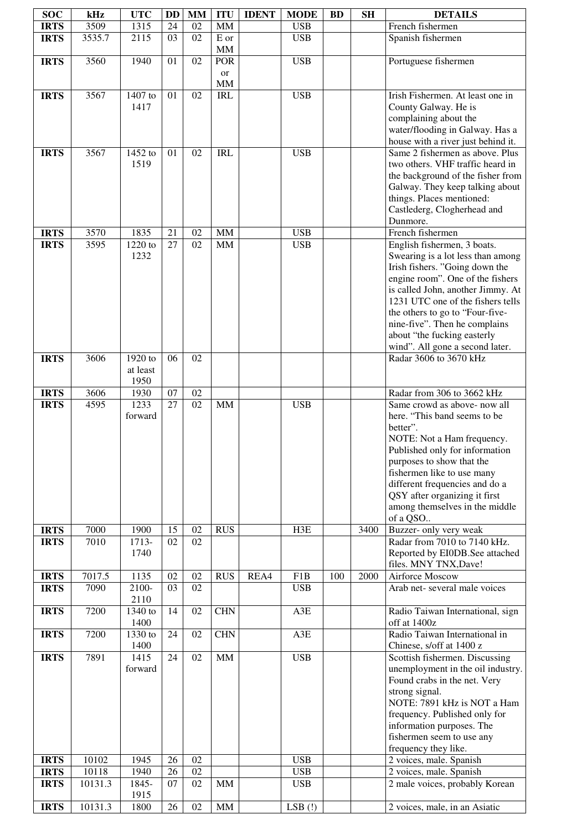| <b>SOC</b>                 | kHz          | <b>UTC</b>       | <b>DD</b> | <b>MM</b> | <b>ITU</b>       | <b>IDENT</b> | <b>MODE</b>              | <b>BD</b> | <b>SH</b> | <b>DETAILS</b>                                                        |
|----------------------------|--------------|------------------|-----------|-----------|------------------|--------------|--------------------------|-----------|-----------|-----------------------------------------------------------------------|
| <b>IRTS</b>                | 3509         | 1315             | 24        | 02        | <b>MM</b>        |              | <b>USB</b>               |           |           | French fishermen                                                      |
| <b>IRTS</b>                | 3535.7       | 2115             | 03        | 02        | ${\bf E}$ or     |              | <b>USB</b>               |           |           | Spanish fishermen                                                     |
|                            |              |                  |           |           | MM               |              |                          |           |           |                                                                       |
| <b>IRTS</b>                | 3560         | 1940             | 01        | 02        | POR              |              | <b>USB</b>               |           |           | Portuguese fishermen                                                  |
|                            |              |                  |           |           | <b>or</b>        |              |                          |           |           |                                                                       |
| <b>IRTS</b>                | 3567         | 1407 to          | 01        | 02        | MM<br><b>IRL</b> |              | <b>USB</b>               |           |           | Irish Fishermen. At least one in                                      |
|                            |              | 1417             |           |           |                  |              |                          |           |           | County Galway. He is                                                  |
|                            |              |                  |           |           |                  |              |                          |           |           | complaining about the                                                 |
|                            |              |                  |           |           |                  |              |                          |           |           | water/flooding in Galway. Has a                                       |
|                            |              |                  |           |           |                  |              |                          |           |           | house with a river just behind it.                                    |
| <b>IRTS</b>                | 3567         | 1452 to          | 01        | 02        | <b>IRL</b>       |              | <b>USB</b>               |           |           | Same 2 fishermen as above. Plus                                       |
|                            |              | 1519             |           |           |                  |              |                          |           |           | two others. VHF traffic heard in<br>the background of the fisher from |
|                            |              |                  |           |           |                  |              |                          |           |           | Galway. They keep talking about                                       |
|                            |              |                  |           |           |                  |              |                          |           |           | things. Places mentioned:                                             |
|                            |              |                  |           |           |                  |              |                          |           |           | Castlederg, Clogherhead and                                           |
|                            |              |                  |           |           |                  |              |                          |           |           | Dunmore.                                                              |
| <b>IRTS</b><br><b>IRTS</b> | 3570<br>3595 | 1835<br>1220 to  | 21<br>27  | 02<br>02  | <b>MM</b><br>MM  |              | <b>USB</b><br><b>USB</b> |           |           | French fishermen<br>English fishermen, 3 boats.                       |
|                            |              | 1232             |           |           |                  |              |                          |           |           | Swearing is a lot less than among                                     |
|                            |              |                  |           |           |                  |              |                          |           |           | Irish fishers. "Going down the                                        |
|                            |              |                  |           |           |                  |              |                          |           |           | engine room". One of the fishers                                      |
|                            |              |                  |           |           |                  |              |                          |           |           | is called John, another Jimmy. At                                     |
|                            |              |                  |           |           |                  |              |                          |           |           | 1231 UTC one of the fishers tells<br>the others to go to "Four-five-  |
|                            |              |                  |           |           |                  |              |                          |           |           | nine-five". Then he complains                                         |
|                            |              |                  |           |           |                  |              |                          |           |           | about "the fucking easterly                                           |
|                            |              |                  |           |           |                  |              |                          |           |           | wind". All gone a second later.                                       |
| <b>IRTS</b>                | 3606         | 1920 to          | 06        | 02        |                  |              |                          |           |           | Radar 3606 to 3670 kHz                                                |
|                            |              | at least<br>1950 |           |           |                  |              |                          |           |           |                                                                       |
| <b>IRTS</b>                | 3606         | 1930             | 07        | 02        |                  |              |                          |           |           | Radar from 306 to 3662 kHz                                            |
| <b>IRTS</b>                | 4595         | 1233             | 27        | 02        | <b>MM</b>        |              | <b>USB</b>               |           |           | Same crowd as above- now all                                          |
|                            |              | forward          |           |           |                  |              |                          |           |           | here. "This band seems to be                                          |
|                            |              |                  |           |           |                  |              |                          |           |           | better".                                                              |
|                            |              |                  |           |           |                  |              |                          |           |           | NOTE: Not a Ham frequency.<br>Published only for information          |
|                            |              |                  |           |           |                  |              |                          |           |           | purposes to show that the                                             |
|                            |              |                  |           |           |                  |              |                          |           |           | fishermen like to use many                                            |
|                            |              |                  |           |           |                  |              |                          |           |           | different frequencies and do a                                        |
|                            |              |                  |           |           |                  |              |                          |           |           | QSY after organizing it first<br>among themselves in the middle       |
|                            |              |                  |           |           |                  |              |                          |           |           | of a QSO                                                              |
| <b>IRTS</b>                | 7000         | 1900             | 15        | 02        | <b>RUS</b>       |              | H3E                      |           | 3400      | Buzzer- only very weak                                                |
| <b>IRTS</b>                | 7010         | 1713-            | 02        | 02        |                  |              |                          |           |           | Radar from 7010 to 7140 kHz.                                          |
|                            |              | 1740             |           |           |                  |              |                          |           |           | Reported by EI0DB.See attached                                        |
| <b>IRTS</b>                | 7017.5       | 1135             | 02        | 02        | <b>RUS</b>       | REA4         | F1B                      | 100       | 2000      | files. MNY TNX, Dave!<br>Airforce Moscow                              |
| <b>IRTS</b>                | 7090         | 2100-            | 03        | 02        |                  |              | <b>USB</b>               |           |           | Arab net-several male voices                                          |
|                            |              | 2110             |           |           |                  |              |                          |           |           |                                                                       |
| <b>IRTS</b>                | 7200         | 1340 to          | 14        | 02        | <b>CHN</b>       |              | A3E                      |           |           | Radio Taiwan International, sign                                      |
| <b>IRTS</b>                | 7200         | 1400<br>1330 to  | 24        | 02        | <b>CHN</b>       |              | A3E                      |           |           | off at 1400z<br>Radio Taiwan International in                         |
|                            |              | 1400             |           |           |                  |              |                          |           |           | Chinese, s/off at 1400 z                                              |
| <b>IRTS</b>                | 7891         | 1415             | 24        | 02        | MM               |              | <b>USB</b>               |           |           | Scottish fishermen. Discussing                                        |
|                            |              | forward          |           |           |                  |              |                          |           |           | unemployment in the oil industry.                                     |
|                            |              |                  |           |           |                  |              |                          |           |           | Found crabs in the net. Very<br>strong signal.                        |
|                            |              |                  |           |           |                  |              |                          |           |           | NOTE: 7891 kHz is NOT a Ham                                           |
|                            |              |                  |           |           |                  |              |                          |           |           | frequency. Published only for                                         |
|                            |              |                  |           |           |                  |              |                          |           |           | information purposes. The                                             |
|                            |              |                  |           |           |                  |              |                          |           |           | fishermen seem to use any                                             |
| <b>IRTS</b>                | 10102        | 1945             | 26        | 02        |                  |              | <b>USB</b>               |           |           | frequency they like.<br>2 voices, male. Spanish                       |
| <b>IRTS</b>                | 10118        | 1940             | 26        | 02        |                  |              | <b>USB</b>               |           |           | 2 voices, male. Spanish                                               |
| <b>IRTS</b>                | 10131.3      | 1845-            | 07        | 02        | <b>MM</b>        |              | <b>USB</b>               |           |           | 2 male voices, probably Korean                                        |
|                            |              | 1915             |           |           |                  |              |                          |           |           |                                                                       |
| <b>IRTS</b>                | 10131.3      | 1800             | 26        | 02        | MM               |              | $LSB$ $(!)$              |           |           | 2 voices, male, in an Asiatic                                         |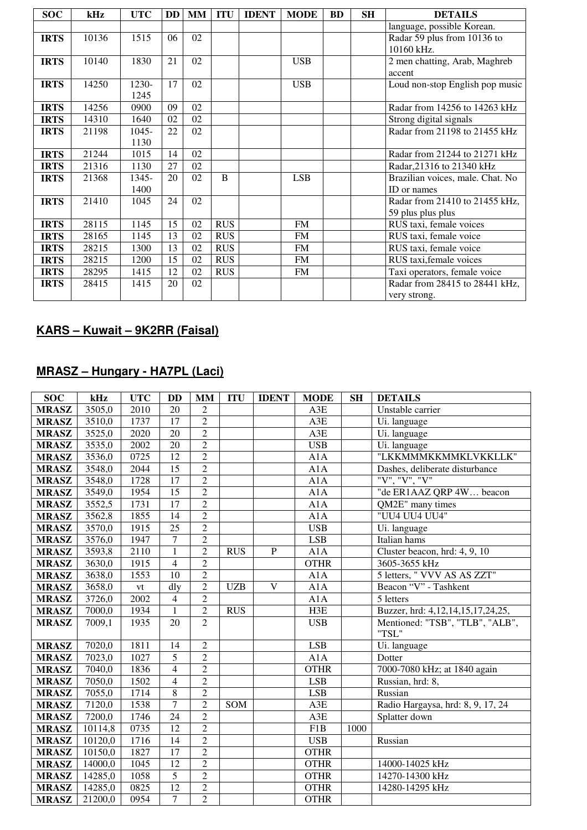| <b>SOC</b>  | kHz   | <b>UTC</b> |    | $DD$ $MM$ | <b>ITU</b>     | <b>IDENT</b> | <b>MODE</b> | <b>BD</b> | <b>SH</b> | <b>DETAILS</b>                   |
|-------------|-------|------------|----|-----------|----------------|--------------|-------------|-----------|-----------|----------------------------------|
|             |       |            |    |           |                |              |             |           |           | language, possible Korean.       |
| <b>IRTS</b> | 10136 | 1515       | 06 | 02        |                |              |             |           |           | Radar 59 plus from 10136 to      |
|             |       |            |    |           |                |              |             |           |           | 10160 kHz.                       |
| <b>IRTS</b> | 10140 | 1830       | 21 | 02        |                |              | <b>USB</b>  |           |           | 2 men chatting, Arab, Maghreb    |
|             |       |            |    |           |                |              |             |           |           | accent                           |
| <b>IRTS</b> | 14250 | 1230-      | 17 | 02        |                |              | <b>USB</b>  |           |           | Loud non-stop English pop music  |
|             |       | 1245       |    |           |                |              |             |           |           |                                  |
| <b>IRTS</b> | 14256 | 0900       | 09 | 02        |                |              |             |           |           | Radar from 14256 to 14263 kHz    |
| <b>IRTS</b> | 14310 | 1640       | 02 | 02        |                |              |             |           |           | Strong digital signals           |
| <b>IRTS</b> | 21198 | $1045 -$   | 22 | 02        |                |              |             |           |           | Radar from 21198 to 21455 kHz    |
|             |       | 1130       |    |           |                |              |             |           |           |                                  |
| <b>IRTS</b> | 21244 | 1015       | 14 | 02        |                |              |             |           |           | Radar from 21244 to 21271 kHz    |
| <b>IRTS</b> | 21316 | 1130       | 27 | 02        |                |              |             |           |           | Radar, 21316 to 21340 kHz        |
| <b>IRTS</b> | 21368 | 1345-      | 20 | 02        | $\overline{B}$ |              | <b>LSB</b>  |           |           | Brazilian voices, male. Chat. No |
|             |       | 1400       |    |           |                |              |             |           |           | ID or names                      |
| <b>IRTS</b> | 21410 | 1045       | 24 | 02        |                |              |             |           |           | Radar from 21410 to 21455 kHz,   |
|             |       |            |    |           |                |              |             |           |           | 59 plus plus plus                |
| <b>IRTS</b> | 28115 | 1145       | 15 | 02        | <b>RUS</b>     |              | <b>FM</b>   |           |           | RUS taxi, female voices          |
| <b>IRTS</b> | 28165 | 1145       | 13 | 02        | <b>RUS</b>     |              | <b>FM</b>   |           |           | RUS taxi, female voice           |
| <b>IRTS</b> | 28215 | 1300       | 13 | 02        | <b>RUS</b>     |              | <b>FM</b>   |           |           | RUS taxi, female voice           |
| <b>IRTS</b> | 28215 | 1200       | 15 | 02        | <b>RUS</b>     |              | <b>FM</b>   |           |           | RUS taxi, female voices          |
| <b>IRTS</b> | 28295 | 1415       | 12 | 02        | <b>RUS</b>     |              | <b>FM</b>   |           |           | Taxi operators, female voice     |
| <b>IRTS</b> | 28415 | 1415       | 20 | 02        |                |              |             |           |           | Radar from 28415 to 28441 kHz,   |
|             |       |            |    |           |                |              |             |           |           | very strong.                     |

# **KARS – Kuwait – 9K2RR (Faisal)**

## **MRASZ – Hungary - HA7PL (Laci)**

| <b>SOC</b>   | kHz     | <b>UTC</b>    | <b>DD</b>       | <b>MM</b>      | <b>ITU</b> | <b>IDENT</b> | <b>MODE</b> | <b>SH</b> | <b>DETAILS</b>                           |
|--------------|---------|---------------|-----------------|----------------|------------|--------------|-------------|-----------|------------------------------------------|
| <b>MRASZ</b> | 3505,0  | 2010          | 20              | 2              |            |              | A3E         |           | Unstable carrier                         |
| <b>MRASZ</b> | 3510,0  | 1737          | $\overline{17}$ | $\overline{2}$ |            |              | A3E         |           | Ui. language                             |
| <b>MRASZ</b> | 3525,0  | 2020          | 20              | $\overline{2}$ |            |              | A3E         |           | Ui. language                             |
| <b>MRASZ</b> | 3535,0  | 2002          | 20              | $\overline{2}$ |            |              | <b>USB</b>  |           | Ui. language                             |
| <b>MRASZ</b> | 3536,0  | 0725          | 12              | $\overline{2}$ |            |              | A1A         |           | "LKKMMMKKMMKLVKKLLK"                     |
| <b>MRASZ</b> | 3548,0  | 2044          | $\overline{15}$ | $\overline{2}$ |            |              | A1A         |           | Dashes, deliberate disturbance           |
| <b>MRASZ</b> | 3548,0  | 1728          | 17              | $\overline{2}$ |            |              | A1A         |           | "V", "V", "V"                            |
| <b>MRASZ</b> | 3549,0  | 1954          | 15              | $\overline{2}$ |            |              | A1A         |           | "de ER1AAZ QRP 4W beacon                 |
| <b>MRASZ</b> | 3552,5  | 1731          | 17              | $\overline{2}$ |            |              | A1A         |           | QM2E" many times                         |
| <b>MRASZ</b> | 3562,8  | 1855          | 14              | $\overline{2}$ |            |              | A1A         |           | "UU4 UU4 UU4"                            |
| <b>MRASZ</b> | 3570,0  | 1915          | 25              | $\overline{2}$ |            |              | <b>USB</b>  |           | Ui. language                             |
| <b>MRASZ</b> | 3576,0  | 1947          | $\overline{7}$  | $\overline{2}$ |            |              | <b>LSB</b>  |           | Italian hams                             |
| <b>MRASZ</b> | 3593,8  | 2110          | $\mathbf{1}$    | $\overline{2}$ | <b>RUS</b> | $\mathbf{P}$ | A1A         |           | Cluster beacon, hrd: 4, 9, 10            |
| <b>MRASZ</b> | 3630,0  | 1915          | $\overline{4}$  | $\overline{2}$ |            |              | <b>OTHR</b> |           | 3605-3655 kHz                            |
| <b>MRASZ</b> | 3638,0  | 1553          | 10              | $\overline{2}$ |            |              | A1A         |           | 5 letters, " VVV AS AS ZZT"              |
| <b>MRASZ</b> | 3658,0  | $\mathrm{vt}$ | dlv             | $\overline{2}$ | <b>UZB</b> | V            | A1A         |           | Beacon "V" - Tashkent                    |
| <b>MRASZ</b> | 3726,0  | 2002          | $\overline{4}$  | $\overline{2}$ |            |              | A1A         |           | 5 letters                                |
| <b>MRASZ</b> | 7000,0  | 1934          | $\mathbf{1}$    | $\overline{2}$ | <b>RUS</b> |              | H3E         |           | Buzzer, hrd: 4,12,14,15,17,24,25,        |
| <b>MRASZ</b> | 7009,1  | 1935          | 20              | $\overline{2}$ |            |              | <b>USB</b>  |           | Mentioned: "TSB", "TLB", "ALB",<br>"TSL" |
| <b>MRASZ</b> | 7020,0  | 1811          | 14              | $\overline{2}$ |            |              | <b>LSB</b>  |           | Ui. language                             |
| <b>MRASZ</b> | 7023,0  | 1027          | $\overline{5}$  | $\overline{2}$ |            |              | A1A         |           | Dotter                                   |
| <b>MRASZ</b> | 7040,0  | 1836          | $\overline{4}$  | $\overline{2}$ |            |              | <b>OTHR</b> |           | 7000-7080 kHz; at 1840 again             |
| <b>MRASZ</b> | 7050,0  | 1502          | $\overline{4}$  | $\overline{2}$ |            |              | <b>LSB</b>  |           | Russian, hrd: 8,                         |
| <b>MRASZ</b> | 7055,0  | 1714          | $\overline{8}$  | $\overline{2}$ |            |              | <b>LSB</b>  |           | Russian                                  |
| <b>MRASZ</b> | 7120,0  | 1538          | $\overline{7}$  | $\overline{2}$ | SOM        |              | A3E         |           | Radio Hargaysa, hrd: 8, 9, 17, 24        |
| <b>MRASZ</b> | 7200,0  | 1746          | $\overline{24}$ | $\overline{2}$ |            |              | A3E         |           | Splatter down                            |
| <b>MRASZ</b> | 10114,8 | 0735          | $\overline{12}$ | $\overline{2}$ |            |              | F1B         | 1000      |                                          |
| <b>MRASZ</b> | 10120,0 | 1716          | 14              | $\overline{2}$ |            |              | <b>USB</b>  |           | Russian                                  |
| <b>MRASZ</b> | 10150,0 | 1827          | $\overline{17}$ | $\overline{2}$ |            |              | <b>OTHR</b> |           |                                          |
| <b>MRASZ</b> | 14000,0 | 1045          | 12              | $\overline{2}$ |            |              | <b>OTHR</b> |           | 14000-14025 kHz                          |
| <b>MRASZ</b> | 14285,0 | 1058          | $\overline{5}$  | $\overline{2}$ |            |              | <b>OTHR</b> |           | 14270-14300 kHz                          |
| <b>MRASZ</b> | 14285,0 | 0825          | 12              | $\overline{2}$ |            |              | <b>OTHR</b> |           | 14280-14295 kHz                          |
| <b>MRASZ</b> | 21200,0 | 0954          | $\overline{7}$  | $\overline{2}$ |            |              | <b>OTHR</b> |           |                                          |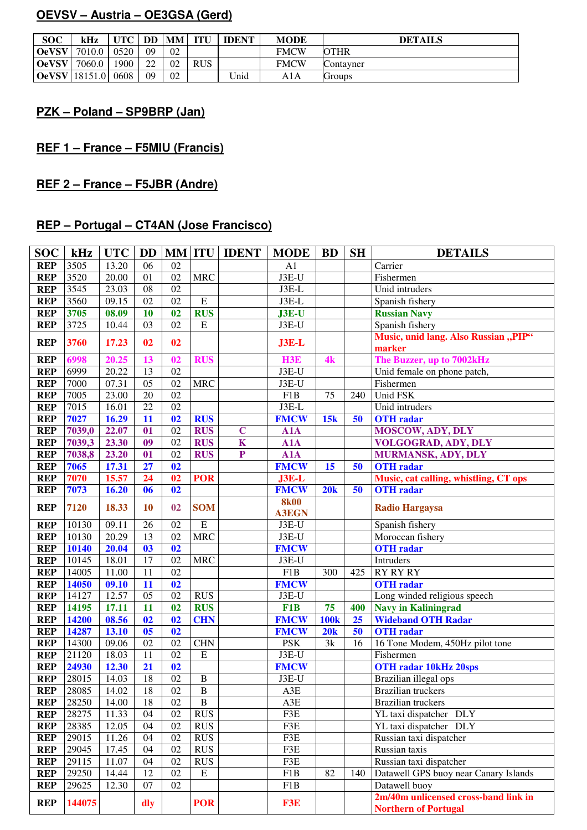## **OEVSV – Austria – OE3GSA (Gerd)**

| <b>SOC</b>   | kHz     | UTC  | <b>DD</b> MM |    | ITU        | <b>IDENT</b> | <b>MODE</b> | <b>DETAILS</b> |
|--------------|---------|------|--------------|----|------------|--------------|-------------|----------------|
| <b>OeVSV</b> | 7010.0  | 0520 | 09           | 02 |            |              | <b>FMCW</b> | <b>OTHR</b>    |
| <b>OeVSV</b> | 7060.0  | 1900 | 22           | 02 | <b>RUS</b> |              | <b>FMCW</b> | Contavner      |
| <b>OeVSV</b> | 18151.0 | 0608 | 09           | 02 |            | Unid         | A1 A        | Groups         |

## **PZK – Poland – SP9BRP (Jan)**

## **REF 1 – France – F5MIU (Francis)**

# **REF 2 – France – F5JBR (Andre)**

## **REP – Portugal – CT4AN (Jose Francisco)**

| <b>SOC</b> | kHz    | <b>UTC</b>         | <b>DD</b>      |    |                | <b>MM ITU IDENT</b> | <b>MODE</b>                 | <b>BD</b>   | <b>SH</b> | <b>DETAILS</b>                                                      |
|------------|--------|--------------------|----------------|----|----------------|---------------------|-----------------------------|-------------|-----------|---------------------------------------------------------------------|
| <b>REP</b> | 3505   | 13.20              | 06             | 02 |                |                     | A1                          |             |           | Carrier                                                             |
| <b>REP</b> | 3520   | 20.00              | 01             | 02 | <b>MRC</b>     |                     | J3E-U                       |             |           | Fishermen                                                           |
| <b>REP</b> | 3545   | 23.03              | 08             | 02 |                |                     | $J3E-L$                     |             |           | Unid intruders                                                      |
| <b>REP</b> | 3560   | 09.15              | 02             | 02 | E              |                     | $J3E-L$                     |             |           | Spanish fishery                                                     |
| <b>REP</b> | 3705   | 08.09              | 10             | 02 | <b>RUS</b>     |                     | $J3E-U$                     |             |           | <b>Russian Navy</b>                                                 |
| <b>REP</b> | 3725   | 10.44              | 03             | 02 | E              |                     | J3E-U                       |             |           | Spanish fishery                                                     |
| <b>REP</b> | 3760   | 17.23              | 02             | 02 |                |                     | $J3E-L$                     |             |           | Music, unid lang. Also Russian "PIP"<br>marker                      |
| <b>REP</b> | 6998   | 20.25              | 13             | 02 | <b>RUS</b>     |                     | H <sub>3E</sub>             | 4k          |           | The Buzzer, up to 7002kHz                                           |
| <b>REP</b> | 6999   | 20.22              | 13             | 02 |                |                     | J3E-U                       |             |           | Unid female on phone patch,                                         |
| <b>REP</b> | 7000   | 07.31              | 05             | 02 | <b>MRC</b>     |                     | J3E-U                       |             |           | Fishermen                                                           |
| <b>REP</b> | 7005   | 23.00              | 20             | 02 |                |                     | F1B                         | 75          | 240       | Unid FSK                                                            |
| <b>REP</b> | 7015   | 16.01              | 22             | 02 |                |                     | J3E-L                       |             |           | Unid intruders                                                      |
| <b>REP</b> | 7027   | 16.29              | 11             | 02 | <b>RUS</b>     |                     | <b>FMCW</b>                 | 15k         | 50        | <b>OTH</b> radar                                                    |
| <b>REP</b> | 7039,0 | 22.07              | 01             | 02 | <b>RUS</b>     | $\mathbf C$         | A1A                         |             |           | <b>MOSCOW, ADY, DLY</b>                                             |
| <b>REP</b> | 7039,3 | 23.30              | 09             | 02 | <b>RUS</b>     | $\mathbf K$         | A1A                         |             |           | <b>VOLGOGRAD, ADY, DLY</b>                                          |
| <b>REP</b> | 7038,8 | 23.20              | 01             | 02 | <b>RUS</b>     | ${\bf P}$           | A1A                         |             |           | MURMANSK, ADY, DLY                                                  |
| <b>REP</b> | 7065   | 17.31              | 27             | 02 |                |                     | <b>FMCW</b>                 | 15          | 50        | <b>OTH</b> radar                                                    |
| <b>REP</b> | 7070   | 15.57              | 24             | 02 | <b>POR</b>     |                     | $J3E-L$                     |             |           | Music, cat calling, whistling, CT ops                               |
| <b>REP</b> | 7073   | 16.20              | 06             | 02 |                |                     | <b>FMCW</b>                 | 20k         | 50        | <b>OTH</b> radar                                                    |
| <b>REP</b> | 7120   | 18.33              | <b>10</b>      | 02 | <b>SOM</b>     |                     | <b>8k00</b><br><b>A3EGN</b> |             |           | <b>Radio Hargaysa</b>                                               |
| <b>REP</b> | 10130  | $\overline{09.11}$ | 26             | 02 | E              |                     | J3E-U                       |             |           | Spanish fishery                                                     |
| <b>REP</b> | 10130  | 20.29              | 13             | 02 | <b>MRC</b>     |                     | $J3E-U$                     |             |           | Moroccan fishery                                                    |
| <b>REP</b> | 10140  | 20.04              | 03             | 02 |                |                     | <b>FMCW</b>                 |             |           | <b>OTH</b> radar                                                    |
| <b>REP</b> | 10145  | 18.01              | 17             | 02 | <b>MRC</b>     |                     | J3E-U                       |             |           | Intruders                                                           |
| <b>REP</b> | 14005  | 11.00              | 11             | 02 |                |                     | F1B                         | 300         | 425       | <b>RY RY RY</b>                                                     |
| <b>REP</b> | 14050  | 09.10              | 11             | 02 |                |                     | <b>FMCW</b>                 |             |           | <b>OTH</b> radar                                                    |
| <b>REP</b> | 14127  | 12.57              | 05             | 02 | <b>RUS</b>     |                     | J3E-U                       |             |           | Long winded religious speech                                        |
| <b>REP</b> | 14195  | 17.11              | 11             | 02 | <b>RUS</b>     |                     | F1B                         | 75          | 400       | <b>Navy in Kaliningrad</b>                                          |
| <b>REP</b> | 14200  | 08.56              | 02             | 02 | <b>CHN</b>     |                     | <b>FMCW</b>                 | <b>100k</b> | 25        | <b>Wideband OTH Radar</b>                                           |
| <b>REP</b> | 14287  | 13.10              | 0 <sub>5</sub> | 02 |                |                     | <b>FMCW</b>                 | 20k         | 50        | <b>OTH</b> radar                                                    |
| <b>REP</b> | 14300  | 09.06              | 02             | 02 | <b>CHN</b>     |                     | <b>PSK</b>                  | 3k          | 16        | 16 Tone Modem, 450Hz pilot tone                                     |
| <b>REP</b> | 21120  | 18.03              | 11             | 02 | ${\bf E}$      |                     | J3E-U                       |             |           | Fishermen                                                           |
| <b>REP</b> | 24930  | 12.30              | 21             | 02 |                |                     | <b>FMCW</b>                 |             |           | <b>OTH radar 10kHz 20sps</b>                                        |
| <b>REP</b> | 28015  | 14.03              | 18             | 02 | $\overline{B}$ |                     | J3E-U                       |             |           | Brazilian illegal ops                                               |
| <b>REP</b> | 28085  | 14.02              | 18             | 02 | B              |                     | A3E                         |             |           | Brazilian truckers                                                  |
| <b>REP</b> | 28250  | 14.00              | 18             | 02 | B              |                     | A3E                         |             |           | <b>Brazilian truckers</b>                                           |
| <b>REP</b> | 28275  | 11.33              | 04             | 02 | <b>RUS</b>     |                     | F3E                         |             |           | YL taxi dispatcher DLY                                              |
| <b>REP</b> | 28385  | 12.05              | 04             | 02 | <b>RUS</b>     |                     | F3E                         |             |           | YL taxi dispatcher DLY                                              |
| <b>REP</b> | 29015  | 11.26              | 04             | 02 | <b>RUS</b>     |                     | F3E                         |             |           | Russian taxi dispatcher                                             |
| <b>REP</b> | 29045  | 17.45              | 04             | 02 | <b>RUS</b>     |                     | F3E                         |             |           | Russian taxis                                                       |
| <b>REP</b> | 29115  | 11.07              | 04             | 02 | <b>RUS</b>     |                     | F3E                         |             |           | Russian taxi dispatcher                                             |
| <b>REP</b> | 29250  | 14.44              | 12             | 02 | ${\bf E}$      |                     | F1B                         | 82          | 140       | Datawell GPS buoy near Canary Islands                               |
| <b>REP</b> | 29625  | 12.30              | 07             | 02 |                |                     | F1B                         |             |           | Datawell buoy                                                       |
| <b>REP</b> | 144075 |                    | dly            |    | <b>POR</b>     |                     | F3E                         |             |           | 2m/40m unlicensed cross-band link in<br><b>Northern of Portugal</b> |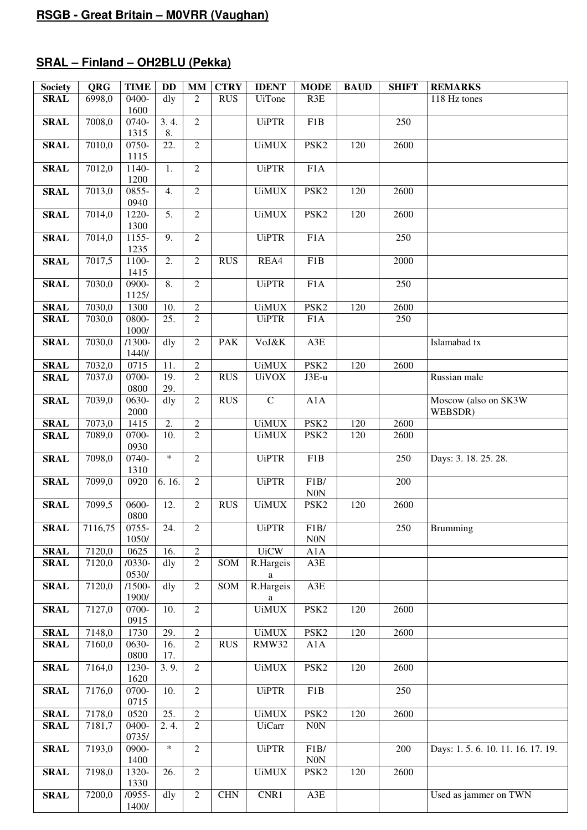# **SRAL – Finland – OH2BLU (Pekka)**

| <b>Society</b> | <b>QRG</b> | <b>TIME</b>       | <b>DD</b>         | <b>MM</b>      | <b>CTRY</b>      | <b>IDENT</b>                                                                                                                                             | <b>MODE</b>              | <b>BAUD</b> | <b>SHIFT</b>     | <b>REMARKS</b>                  |
|----------------|------------|-------------------|-------------------|----------------|------------------|----------------------------------------------------------------------------------------------------------------------------------------------------------|--------------------------|-------------|------------------|---------------------------------|
| <b>SRAL</b>    | 6998,0     | 0400-<br>1600     | dly               | 2              | <b>RUS</b>       | <b>UiTone</b>                                                                                                                                            | R3E                      |             |                  | 118 Hz tones                    |
| <b>SRAL</b>    | 7008,0     | 0740-<br>1315     | 3.4.<br>8.        | $\overline{2}$ |                  | <b>UiPTR</b>                                                                                                                                             | F1B                      |             | 250              |                                 |
| <b>SRAL</b>    | 7010,0     | 0750-<br>1115     | 22.               | $\overline{2}$ |                  | <b>UiMUX</b>                                                                                                                                             | PSK <sub>2</sub>         | 120         | 2600             |                                 |
| <b>SRAL</b>    | 7012,0     | 1140-<br>1200     | 1.                | $\overline{2}$ |                  | <b>UiPTR</b>                                                                                                                                             | F <sub>1</sub> A         |             |                  |                                 |
| <b>SRAL</b>    | 7013,0     | 0855-<br>0940     | 4.                | $\overline{2}$ |                  | <b>UiMUX</b>                                                                                                                                             | PSK <sub>2</sub>         | 120         | 2600             |                                 |
| <b>SRAL</b>    | 7014,0     | 1220-<br>1300     | 5.                | $\overline{2}$ |                  | <b>UiMUX</b>                                                                                                                                             | PSK <sub>2</sub>         | 120         | 2600             |                                 |
| <b>SRAL</b>    | 7014,0     | 1155-<br>1235     | $\overline{9}$ .  | $\overline{2}$ |                  | <b>UiPTR</b>                                                                                                                                             | F1A                      |             | $\overline{250}$ |                                 |
| <b>SRAL</b>    | 7017,5     | 1100-<br>1415     | 2.                | $\overline{2}$ | <b>RUS</b>       | REA4                                                                                                                                                     | F <sub>1</sub> B         |             | 2000             |                                 |
| <b>SRAL</b>    | 7030,0     | 0900-<br>1125/    | 8.                | $\overline{2}$ |                  | <b>UiPTR</b>                                                                                                                                             | F1A                      |             | 250              |                                 |
| <b>SRAL</b>    | 7030,0     | 1300              | 10.               | $\overline{2}$ |                  | <b>UiMUX</b>                                                                                                                                             | PSK <sub>2</sub>         | 120         | 2600             |                                 |
| <b>SRAL</b>    | 7030,0     | 0800-<br>1000/    | $\overline{25}$ . | $\overline{2}$ |                  | <b>UiPTR</b>                                                                                                                                             | F1A                      |             | 250              |                                 |
| <b>SRAL</b>    | 7030,0     | $/1300-$<br>1440/ | $\mathrm{d}$ ly   | $\overline{2}$ | <b>PAK</b>       | VoJ&K                                                                                                                                                    | A3E                      |             |                  | Islamabad tx                    |
| <b>SRAL</b>    | 7032,0     | 0715              | 11.               | $\sqrt{2}$     |                  | <b>UiMUX</b>                                                                                                                                             | PSK <sub>2</sub>         | 120         | 2600             |                                 |
| <b>SRAL</b>    | 7037,0     | 0700-<br>0800     | 19.<br>29.        | $\overline{2}$ | <b>RUS</b>       | <b>UiVOX</b>                                                                                                                                             | J3E-u                    |             |                  | Russian male                    |
| <b>SRAL</b>    | 7039,0     | 0630-<br>2000     | dly               | $\overline{2}$ | <b>RUS</b>       | $\mathbf C$                                                                                                                                              | A1A                      |             |                  | Moscow (also on SK3W<br>WEBSDR) |
| <b>SRAL</b>    | 7073,0     | 1415              | 2.                | $\overline{2}$ |                  | <b>UiMUX</b>                                                                                                                                             | PSK <sub>2</sub>         | 120         | 2600             |                                 |
| <b>SRAL</b>    | 7089,0     | 0700-<br>0930     | 10.               | $\overline{2}$ |                  | <b>UiMUX</b>                                                                                                                                             | PSK <sub>2</sub>         | 120         | 2600             |                                 |
| <b>SRAL</b>    | 7098,0     | 0740-<br>1310     | $\ast$            | $\overline{2}$ |                  | <b>UiPTR</b>                                                                                                                                             | F1B                      |             | 250              | Days: 3. 18. 25. 28.            |
| <b>SRAL</b>    | 7099,0     | 0920              | 6.16.             | $\overline{2}$ |                  | <b>UiPTR</b>                                                                                                                                             | F1B/<br><b>N0N</b>       |             | 200              |                                 |
| <b>SRAL</b>    | 7099,5     | 0600-<br>0800     | 12.               | $\overline{2}$ | <b>RUS</b>       | $\ensuremath{\mathsf{U}}\xspace\ensuremath{\mathsf{i}}\xspace\ensuremath{\mathsf{M}}\xspace\ensuremath{\mathsf{U}}\xspace\ensuremath{\mathsf{X}}\xspace$ | PSK <sub>2</sub>         | 120         | 2600             |                                 |
| <b>SRAL</b>    | 7116,75    | 0755-<br>1050/    | 24.               | $\overline{2}$ |                  | <b>UiPTR</b>                                                                                                                                             | F1B/<br>N0N              |             | 250              | Brumming                        |
| <b>SRAL</b>    | 7120,0     | 0625              | 16.               | $\overline{2}$ |                  | <b>UiCW</b>                                                                                                                                              | A1A                      |             |                  |                                 |
| <b>SRAL</b>    | 7120,0     | $/0330-$<br>0530/ | dly               | $\overline{2}$ | SOM              | R.Hargeis<br>$\mathbf{a}$                                                                                                                                | A3E                      |             |                  |                                 |
| <b>SRAL</b>    | 7120,0     | $/1500-$<br>1900/ | dly               | $\overline{2}$ | $\overline{SOM}$ | R.Hargeis<br>a                                                                                                                                           | A3E                      |             |                  |                                 |
| <b>SRAL</b>    | 7127,0     | 0700-<br>0915     | 10.               | $\overline{2}$ |                  | <b>UiMUX</b>                                                                                                                                             | PSK <sub>2</sub>         | 120         | 2600             |                                 |
| <b>SRAL</b>    | 7148,0     | 1730              | 29.               | $\overline{2}$ |                  | <b>UiMUX</b>                                                                                                                                             | PSK2                     | 120         | 2600             |                                 |
| <b>SRAL</b>    | 7160,0     | 0630-<br>0800     | 16.<br>17.        | $\overline{2}$ | <b>RUS</b>       | RMW32                                                                                                                                                    | A1A                      |             |                  |                                 |
| <b>SRAL</b>    | 7164,0     | 1230-<br>1620     | 3.9.              | 2              |                  | <b>UiMUX</b>                                                                                                                                             | PSK <sub>2</sub>         | 120         | 2600             |                                 |
| <b>SRAL</b>    | 7176,0     | 0700-<br>0715     | 10.               | $\overline{2}$ |                  | <b>UiPTR</b>                                                                                                                                             | F1B                      |             | 250              |                                 |
| <b>SRAL</b>    | 7178,0     | 0520              | 25.               | $\overline{2}$ |                  | <b>UiMUX</b>                                                                                                                                             | PSK <sub>2</sub>         | 120         | 2600             |                                 |
| <b>SRAL</b>    | 7181,7     | 0400-<br>0735/    | 2.4.              | $\overline{2}$ |                  | <b>UiCarr</b>                                                                                                                                            | N0N                      |             |                  |                                 |
| <b>SRAL</b>    | 7193,0     | 0900-<br>1400     | $\ast$            | $\overline{2}$ |                  | <b>UiPTR</b>                                                                                                                                             | F1B/<br>N <sub>0</sub> N |             | 200              | Days: 1.5.6.10.11.16.17.19.     |
| <b>SRAL</b>    | 7198,0     | 1320-<br>1330     | 26.               | $\overline{2}$ |                  | <b>UiMUX</b>                                                                                                                                             | PSK <sub>2</sub>         | 120         | 2600             |                                 |
| <b>SRAL</b>    | 7200,0     | $/0955-$<br>1400/ | dly               | $\overline{2}$ | $\rm CHN$        | CNR1                                                                                                                                                     | $A3E$                    |             |                  | Used as jammer on TWN           |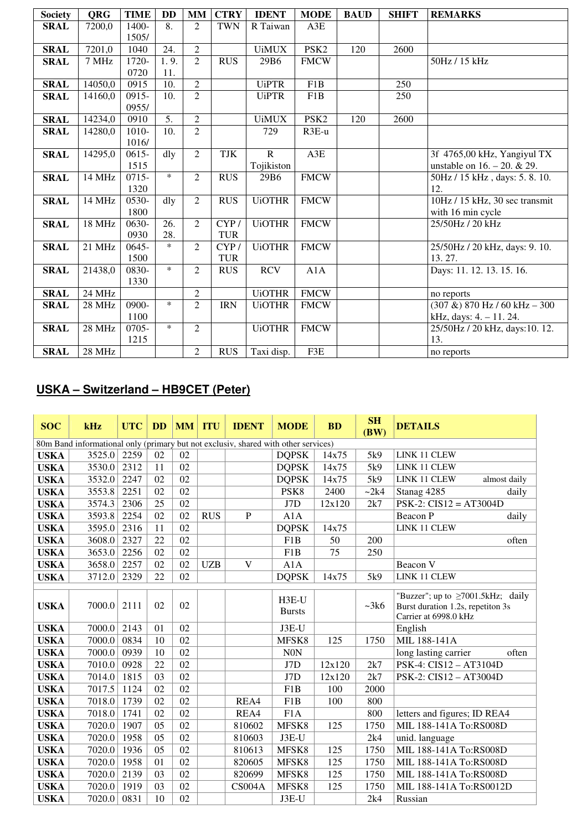| <b>Society</b> | <b>QRG</b>          | <b>TIME</b> | <b>DD</b>        | <b>MM</b>      | <b>CTRY</b> | <b>IDENT</b>  | <b>MODE</b>        | <b>BAUD</b> | <b>SHIFT</b> | <b>REMARKS</b>                          |
|----------------|---------------------|-------------|------------------|----------------|-------------|---------------|--------------------|-------------|--------------|-----------------------------------------|
| <b>SRAL</b>    | 7200,0              | 1400-       | 8.               | 2              | <b>TWN</b>  | R Taiwan      | A3E                |             |              |                                         |
|                |                     | 1505/       |                  |                |             |               |                    |             |              |                                         |
| <b>SRAL</b>    | 7201,0              | 1040        | 24.              | $\overline{2}$ |             | <b>UiMUX</b>  | PSK <sub>2</sub>   | 120         | 2600         |                                         |
| <b>SRAL</b>    | 7 MHz               | 1720-       | 1.9.             | $\overline{2}$ | <b>RUS</b>  | 29B6          | <b>FMCW</b>        |             |              | 50Hz / 15 kHz                           |
|                |                     | 0720        | 11.              |                |             |               |                    |             |              |                                         |
| <b>SRAL</b>    | 14050,0             | 0915        | 10.              | $\mathfrak{D}$ |             | <b>UiPTR</b>  | F1B                |             | 250          |                                         |
| <b>SRAL</b>    | 14160,0             | $0915 -$    | 10.              | $\overline{2}$ |             | <b>UiPTR</b>  | F <sub>1</sub> B   |             | 250          |                                         |
|                |                     | 0955/       |                  |                |             |               |                    |             |              |                                         |
| <b>SRAL</b>    | 14234,0             | 0910        | $\overline{5}$ . | $\overline{2}$ |             | <b>UiMUX</b>  | PSK <sub>2</sub>   | 120         | 2600         |                                         |
| <b>SRAL</b>    | 14280,0             | $1010 -$    | 10.              | $\overline{2}$ |             | 729           | $R3E-u$            |             |              |                                         |
|                |                     | 1016/       |                  |                |             |               |                    |             |              |                                         |
| <b>SRAL</b>    | 14295,0             | $0615 -$    | dly              | $\overline{2}$ | <b>TJK</b>  | $\mathbf{R}$  | A3E                |             |              | 3f 4765,00 kHz, Yangiyul TX             |
|                |                     | 1515        |                  |                |             | Tojikiston    |                    |             |              | unstable on $16. - 20. \& 29.$          |
| <b>SRAL</b>    | 14 MHz              | $0715 -$    | $\ast$           | $\overline{2}$ | <b>RUS</b>  | 29B6          | <b>FMCW</b>        |             |              | 50Hz / 15 kHz, days: 5.8.10.            |
|                |                     | 1320        |                  |                |             |               |                    |             |              | 12.                                     |
| <b>SRAL</b>    | 14 MHz              | 0530-       | dly              | $\overline{2}$ | RUS         | <b>UiOTHR</b> | <b>FMCW</b>        |             |              | 10Hz / 15 kHz, 30 sec transmit          |
|                |                     | 1800        |                  |                |             |               |                    |             |              | with 16 min cycle                       |
| <b>SRAL</b>    | 18 MHz              | 0630-       | 26.              | 2              | CYP/        | <b>UiOTHR</b> | <b>FMCW</b>        |             |              | 25/50Hz / 20 kHz                        |
|                |                     | 0930        | 28.              |                | <b>TUR</b>  |               |                    |             |              |                                         |
| <b>SRAL</b>    | $\overline{21}$ MHz | $0645 -$    | $\ast$           | $\mathfrak{D}$ | CYP/        | <b>UiOTHR</b> | <b>FMCW</b>        |             |              | 25/50Hz / 20 kHz, days: 9. 10.          |
|                |                     | 1500        |                  |                | <b>TUR</b>  |               |                    |             |              | 13.27.                                  |
| <b>SRAL</b>    | 21438,0             | 0830-       | $\ast$           | $\overline{2}$ | <b>RUS</b>  | <b>RCV</b>    | A1A                |             |              | Days: 11. 12. 13. 15. 16.               |
|                |                     | 1330        |                  |                |             |               |                    |             |              |                                         |
| <b>SRAL</b>    | 24 MHz              |             |                  | $\overline{2}$ |             | <b>UiOTHR</b> | ${\rm FM}{\rm CW}$ |             |              | no reports                              |
| <b>SRAL</b>    | 28 MHz              | 0900-       | $\ast$           | $\overline{2}$ | <b>IRN</b>  | <b>UiOTHR</b> | <b>FMCW</b>        |             |              | $\sqrt{(307 \&)}$ 870 Hz / 60 kHz – 300 |
|                |                     | 1100        |                  |                |             |               |                    |             |              | kHz, days: 4. - 11. 24.                 |
| <b>SRAL</b>    | 28 MHz              | $0705 -$    | $\ast$           | $\overline{2}$ |             | <b>UiOTHR</b> | <b>FMCW</b>        |             |              | 25/50Hz / 20 kHz, days:10. 12.          |
|                |                     | 1215        |                  |                |             |               |                    |             |              | 13.                                     |
| <b>SRAL</b>    | 28 MHz              |             |                  | $\overline{2}$ | <b>RUS</b>  | Taxi disp.    | F3E                |             |              | no reports                              |

# **USKA – Switzerland – HB9CET (Peter)**

| <b>SOC</b>  | kHz                                                                                | <b>UTC</b> | <b>DD</b> | <b>MM</b> | <b>ITU</b> | <b>IDENT</b>  | <b>MODE</b>              | <b>BD</b> | <b>SH</b><br>(BW) | <b>DETAILS</b>                                                                                         |
|-------------|------------------------------------------------------------------------------------|------------|-----------|-----------|------------|---------------|--------------------------|-----------|-------------------|--------------------------------------------------------------------------------------------------------|
|             | 80m Band informational only (primary but not exclusiv, shared with other services) |            |           |           |            |               |                          |           |                   |                                                                                                        |
| <b>USKA</b> | 3525.0                                                                             | 2259       | 02        | 02        |            |               | <b>DQPSK</b>             | 14x75     | 5k9               | LINK 11 CLEW                                                                                           |
| <b>USKA</b> | 3530.0                                                                             | 2312       | 11        | 02        |            |               | <b>DOPSK</b>             | 14x75     | 5k9               | LINK 11 CLEW                                                                                           |
| <b>USKA</b> | 3532.0                                                                             | 2247       | 02        | 02        |            |               | <b>DQPSK</b>             | 14x75     | 5k9               | LINK 11 CLEW<br>almost daily                                                                           |
| <b>USKA</b> | 3553.8                                                                             | 2251       | 02        | 02        |            |               | PSK8                     | 2400      | ~2k4              | Stanag 4285<br>daily                                                                                   |
| <b>USKA</b> | 3574.3                                                                             | 2306       | 25        | 02        |            |               | J7D                      | 12x120    | 2k7               | $PSK-2$ : $CIS12 = AT3004D$                                                                            |
| <b>USKA</b> | 3593.8                                                                             | 2254       | 02        | 02        | <b>RUS</b> | $\mathbf{P}$  | A1A                      |           |                   | Beacon P<br>daily                                                                                      |
| <b>USKA</b> | 3595.0                                                                             | 2316       | 11        | 02        |            |               | <b>DQPSK</b>             | 14x75     |                   | LINK 11 CLEW                                                                                           |
| <b>USKA</b> | 3608.0                                                                             | 2327       | 22        | 02        |            |               | F <sub>1</sub> B         | 50        | 200               | often                                                                                                  |
| <b>USKA</b> | 3653.0                                                                             | 2256       | 02        | 02        |            |               | F1B                      | 75        | 250               |                                                                                                        |
| <b>USKA</b> | 3658.0                                                                             | 2257       | 02        | 02        | <b>UZB</b> | V             | A1A                      |           |                   | Beacon V                                                                                               |
| <b>USKA</b> | 3712.0                                                                             | 2329       | 22        | 02        |            |               | <b>DQPSK</b>             | 14x75     | 5k9               | LINK 11 CLEW                                                                                           |
| <b>USKA</b> | 7000.0                                                                             | 2111       | 02        | 02        |            |               | $H3E-U$<br><b>Bursts</b> |           | ~28k              | "Buzzer"; up to $\geq 7001.5$ kHz; daily<br>Burst duration 1.2s, repetiton 3s<br>Carrier at 6998.0 kHz |
| <b>USKA</b> | 7000.0                                                                             | 2143       | 01        | 02        |            |               | J3E-U                    |           |                   | English                                                                                                |
| <b>USKA</b> | 7000.0                                                                             | 0834       | 10        | 02        |            |               | MFSK8                    | 125       | 1750              | MIL 188-141A                                                                                           |
| <b>USKA</b> | 7000.0                                                                             | 0939       | 10        | 02        |            |               | <b>N0N</b>               |           |                   | long lasting carrier<br>often                                                                          |
| <b>USKA</b> | 7010.0                                                                             | 0928       | 22        | 02        |            |               | J7D                      | 12x120    | 2k7               | PSK-4: CIS12 - AT3104D                                                                                 |
| <b>USKA</b> | 7014.0                                                                             | 1815       | 03        | 02        |            |               | J7D                      | 12x120    | 2k7               | PSK-2: CIS12 - AT3004D                                                                                 |
| <b>USKA</b> | 7017.5                                                                             | 1124       | 02        | 02        |            |               | F1B                      | 100       | 2000              |                                                                                                        |
| <b>USKA</b> | 7018.0                                                                             | 1739       | 02        | 02        |            | REA4          | F <sub>1</sub> B         | 100       | 800               |                                                                                                        |
| <b>USKA</b> | 7018.0                                                                             | 1741       | 02        | 02        |            | REA4          | F <sub>1</sub> A         |           | 800               | letters and figures; ID REA4                                                                           |
| <b>USKA</b> | 7020.0                                                                             | 1907       | 05        | 02        |            | 810602        | MFSK8                    | 125       | 1750              | MIL 188-141A To:RS008D                                                                                 |
| <b>USKA</b> | 7020.0                                                                             | 1958       | 05        | 02        |            | 810603        | J3E-U                    |           | 2k4               | unid. language                                                                                         |
| <b>USKA</b> | 7020.0                                                                             | 1936       | 05        | 02        |            | 810613        | MFSK8                    | 125       | 1750              | MIL 188-141A To:RS008D                                                                                 |
| <b>USKA</b> | 7020.0                                                                             | 1958       | 01        | 02        |            | 820605        | MFSK8                    | 125       | 1750              | MIL 188-141A To:RS008D                                                                                 |
| <b>USKA</b> | 7020.0                                                                             | 2139       | 03        | 02        |            | 820699        | MFSK8                    | 125       | 1750              | MIL 188-141A To:RS008D                                                                                 |
| <b>USKA</b> | 7020.0                                                                             | 1919       | 03        | 02        |            | <b>CS004A</b> | MFSK8                    | 125       | 1750              | MIL 188-141A To:RS0012D                                                                                |
| <b>USKA</b> | 7020.0                                                                             | 0831       | 10        | 02        |            |               | J3E-U                    |           | 2k4               | Russian                                                                                                |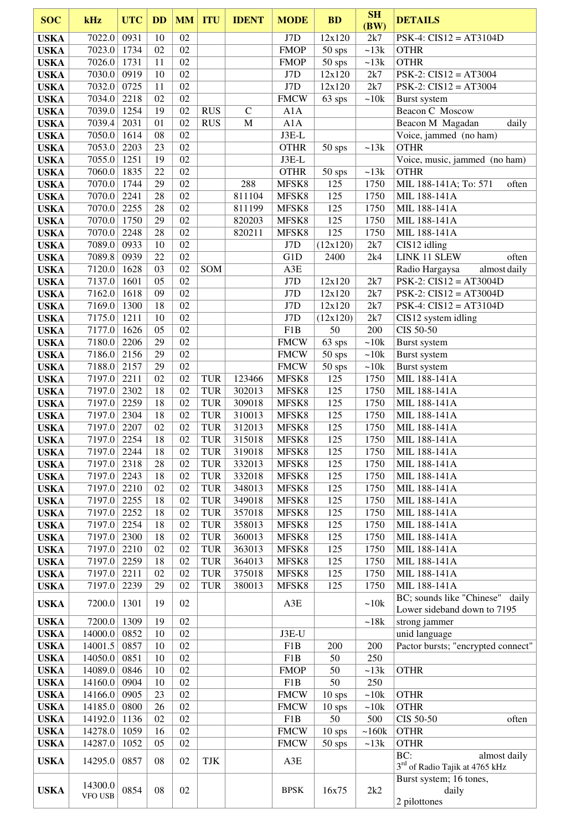| <b>SOC</b>                 | kHz                          | <b>UTC</b>   | <b>DD</b> | <b>MM</b> | <b>ITU</b>               | <b>IDENT</b>     | <b>MODE</b>        | <b>BD</b>        | <b>SH</b><br>(BW) | <b>DETAILS</b>                                                    |
|----------------------------|------------------------------|--------------|-----------|-----------|--------------------------|------------------|--------------------|------------------|-------------------|-------------------------------------------------------------------|
| <b>USKA</b>                | 7022.0                       | 0931         | 10        | 02        |                          |                  | J7D                | 12x120           | 2k7               | $PSK-4$ : $CIS12 = AT3104D$                                       |
| <b>USKA</b>                | 7023.0                       | 1734         | 02        | 02        |                          |                  | <b>FMOP</b>        | 50 sps           | ~13k              | <b>OTHR</b>                                                       |
| <b>USKA</b>                | 7026.0                       | 1731         | 11        | 02        |                          |                  | <b>FMOP</b>        | $50$ sps         | ~13k              | <b>OTHR</b>                                                       |
| <b>USKA</b>                | 7030.0                       | 0919         | 10        | 02        |                          |                  | J7D                | 12x120           | 2k7               | $PSK-2$ : $CIS12 = AT3004$                                        |
| <b>USKA</b><br><b>USKA</b> | 7032.0<br>7034.0             | 0725<br>2218 | 11<br>02  | 02<br>02  |                          |                  | J7D<br><b>FMCW</b> | 12x120<br>63 sps | 2k7<br>~10k       | $PSK-2$ : $CIS12 = AT3004$                                        |
| <b>USKA</b>                | 7039.0                       | 1254         | 19        | 02        | <b>RUS</b>               | $\mathcal{C}$    | A1A                |                  |                   | Burst system<br>Beacon C Moscow                                   |
| <b>USKA</b>                | 7039.4                       | 2031         | 01        | 02        | <b>RUS</b>               | $\mathbf M$      | A1A                |                  |                   | Beacon M Magadan<br>daily                                         |
| <b>USKA</b>                | 7050.0                       | 1614         | 08        | 02        |                          |                  | J3E-L              |                  |                   | Voice, jammed (no ham)                                            |
| <b>USKA</b>                | 7053.0                       | 2203         | 23        | 02        |                          |                  | <b>OTHR</b>        | $50$ sps         | ~13k              | <b>OTHR</b>                                                       |
| <b>USKA</b>                | 7055.0                       | 1251         | 19        | 02        |                          |                  | $J3E-L$            |                  |                   | Voice, music, jammed (no ham)                                     |
| <b>USKA</b>                | 7060.0                       | 1835         | 22        | 02        |                          |                  | <b>OTHR</b>        | 50 sps           | ~13k              | <b>OTHR</b>                                                       |
| <b>USKA</b>                | 7070.0                       | 1744         | 29        | 02        |                          | 288              | MFSK8              | 125              | 1750              | MIL 188-141A; To: 571<br>often                                    |
| <b>USKA</b><br><b>USKA</b> | 7070.0<br>7070.0             | 2241<br>2255 | 28<br>28  | 02<br>02  |                          | 811104<br>811199 | MFSK8<br>MFSK8     | 125<br>125       | 1750<br>1750      | MIL 188-141A<br>MIL 188-141A                                      |
| <b>USKA</b>                | 7070.0                       | 1750         | 29        | 02        |                          | 820203           | MFSK8              | 125              | 1750              | MIL 188-141A                                                      |
| <b>USKA</b>                | 7070.0                       | 2248         | 28        | 02        |                          | 820211           | MFSK8              | 125              | 1750              | MIL 188-141A                                                      |
| <b>USKA</b>                | 7089.0                       | 0933         | 10        | 02        |                          |                  | J7D                | (12x120)         | 2k7               | CIS12 idling                                                      |
| <b>USKA</b>                | 7089.8                       | 0939         | 22        | 02        |                          |                  | G1D                | 2400             | 2k4               | LINK 11 SLEW<br>often                                             |
| <b>USKA</b>                | 7120.0                       | 1628         | 03        | 02        | SOM                      |                  | A3E                |                  |                   | Radio Hargaysa<br>almost daily                                    |
| <b>USKA</b>                | 7137.0                       | 1601         | 05        | 02        |                          |                  | J7D                | 12x120           | 2k7               | $PSK-2$ : $CIS12 = AT3004D$                                       |
| <b>USKA</b>                | 7162.0                       | 1618         | 09        | 02        |                          |                  | J7D                | 12x120           | 2k7               | $PSK-2$ : $CIS12 = AT3004D$                                       |
| <b>USKA</b>                | 7169.0                       | 1300         | 18<br>10  | 02<br>02  |                          |                  | J7D                | 12x120           | 2k7               | $PSK-4$ : $CIS12 = AT3104D$                                       |
| <b>USKA</b><br><b>USKA</b> | 7175.0<br>7177.0             | 1211<br>1626 | 05        | 02        |                          |                  | J7D<br>F1B         | (12x120)<br>50   | 2k7<br>200        | CIS12 system idling<br>CIS 50-50                                  |
| <b>USKA</b>                | 7180.0                       | 2206         | 29        | 02        |                          |                  | <b>FMCW</b>        | 63 sps           | ~10k              | Burst system                                                      |
| <b>USKA</b>                | 7186.0                       | 2156         | 29        | 02        |                          |                  | <b>FMCW</b>        | $50$ sps         | ~10k              | Burst system                                                      |
| <b>USKA</b>                | 7188.0                       | 2157         | 29        | 02        |                          |                  | <b>FMCW</b>        | 50 sps           | ~10k              | Burst system                                                      |
| <b>USKA</b>                | 7197.0                       | 2211         | 02        | 02        | <b>TUR</b>               | 123466           | MFSK8              | 125              | 1750              | MIL 188-141A                                                      |
| <b>USKA</b>                | 7197.0                       | 2302         | 18        | 02        | <b>TUR</b>               | 302013           | MFSK8              | 125              | 1750              | MIL 188-141A                                                      |
| <b>USKA</b>                | 7197.0                       | 2259         | 18        | 02        | <b>TUR</b>               | 309018           | MFSK8              | 125              | 1750              | MIL 188-141A                                                      |
| <b>USKA</b>                | 7197.0                       | 2304         | 18<br>02  | 02<br>02  | <b>TUR</b>               | 310013           | MFSK8              | 125              | 1750              | MIL 188-141A                                                      |
| <b>USKA</b><br><b>USKA</b> | 7197.0<br>7197.0             | 2207<br>2254 | 18        | 02        | <b>TUR</b><br><b>TUR</b> | 312013<br>315018 | MFSK8<br>MFSK8     | 125<br>125       | 1750<br>1750      | MIL 188-141A<br>MIL 188-141A                                      |
| <b>USKA</b>                | 7197.0 2244                  |              | 18        | 02        | TUR                      | 319018           | MFSK8              | 125              | 1750              | MIL 188-141A                                                      |
| <b>USKA</b>                | 7197.0                       | 2318         | 28        | 02        | <b>TUR</b>               | 332013           | MFSK8              | 125              | 1750              | MIL 188-141A                                                      |
| <b>USKA</b>                | 7197.0                       | 2243         | 18        | 02        | <b>TUR</b>               | 332018           | MFSK8              | 125              | 1750              | MIL 188-141A                                                      |
| <b>USKA</b>                | 7197.0                       | 2210         | 02        | 02        | TUR                      | 348013           | MFSK8              | 125              | 1750              | MIL 188-141A                                                      |
| <b>USKA</b>                | 7197.0                       | 2255         | 18        | 02        | TUR                      | 349018           | MFSK8              | 125              | 1750              | MIL 188-141A                                                      |
| <b>USKA</b>                | 7197.0                       | 2252         | 18        | 02        | <b>TUR</b>               | 357018           | MFSK8              | 125              | 1750              | MIL 188-141A                                                      |
| <b>USKA</b><br><b>USKA</b> | 7197.0<br>7197.0             | 2254<br>2300 | 18<br>18  | 02<br>02  | <b>TUR</b><br><b>TUR</b> | 358013<br>360013 | MFSK8<br>MFSK8     | 125<br>125       | 1750<br>1750      | MIL 188-141A<br>MIL 188-141A                                      |
| <b>USKA</b>                | 7197.0                       | 2210         | 02        | 02        | <b>TUR</b>               | 363013           | MFSK8              | 125              | 1750              | MIL 188-141A                                                      |
| <b>USKA</b>                | 7197.0                       | 2259         | 18        | 02        | <b>TUR</b>               | 364013           | MFSK8              | 125              | 1750              | MIL 188-141A                                                      |
| <b>USKA</b>                | 7197.0                       | 2211         | 02        | 02        | <b>TUR</b>               | 375018           | MFSK8              | 125              | 1750              | MIL 188-141A                                                      |
| <b>USKA</b>                | 7197.0                       | 2239         | 29        | 02        | <b>TUR</b>               | 380013           | MFSK8              | 125              | 1750              | MIL 188-141A                                                      |
| <b>USKA</b>                | 7200.0                       | 1301         | 19        | 02        |                          |                  | A3E                |                  | ~10k              | BC; sounds like "Chinese" daily<br>Lower sideband down to 7195    |
| <b>USKA</b>                | 7200.0                       | 1309         | 19        | 02        |                          |                  |                    |                  | ~18k              | strong jammer                                                     |
| <b>USKA</b>                | 14000.0                      | 0852         | 10        | 02        |                          |                  | J3E-U              |                  |                   | unid language                                                     |
| <b>USKA</b>                | 14001.5                      | 0857         | 10        | 02        |                          |                  | F1B                | 200              | 200               | Pactor bursts; "encrypted connect"                                |
| <b>USKA</b>                | 14050.0                      | 0851         | 10        | 02        |                          |                  | F1B                | 50               | 250               |                                                                   |
| <b>USKA</b><br><b>USKA</b> | 14089.0 0846<br>14160.0 0904 |              | 10<br>10  | 02<br>02  |                          |                  | <b>FMOP</b><br>F1B | 50<br>50         | $\sim 13k$<br>250 | <b>OTHR</b>                                                       |
| <b>USKA</b>                | 14166.0 0905                 |              | 23        | 02        |                          |                  | <b>FMCW</b>        | $10$ sps         | ~10k              | <b>OTHR</b>                                                       |
| <b>USKA</b>                | 14185.0 0800                 |              | 26        | 02        |                          |                  | <b>FMCW</b>        | $10$ sps         | ~10k              | <b>OTHR</b>                                                       |
| <b>USKA</b>                | 14192.0 1136                 |              | 02        | 02        |                          |                  | F1B                | 50               | 500               | CIS 50-50<br>often                                                |
| <b>USKA</b>                | 14278.0                      | 1059         | 16        | 02        |                          |                  | <b>FMCW</b>        | $10$ sps         | ~160k             | <b>OTHR</b>                                                       |
| <b>USKA</b>                | 14287.0                      | 1052         | 05        | 02        |                          |                  | <b>FMCW</b>        | $50$ sps         | ~13k              | <b>OTHR</b>                                                       |
| <b>USKA</b>                | 14295.0                      | 0857         | 08        | 02        | TJK                      |                  | A3E                |                  |                   | BC:<br>almost daily<br>3 <sup>rd</sup> of Radio Tajik at 4765 kHz |
| <b>USKA</b>                | 14300.0<br>VFO USB           | 0854         | 08        | 02        |                          |                  | <b>BPSK</b>        | 16x75            | 2k2               | Burst system; 16 tones,<br>daily<br>2 pilottones                  |